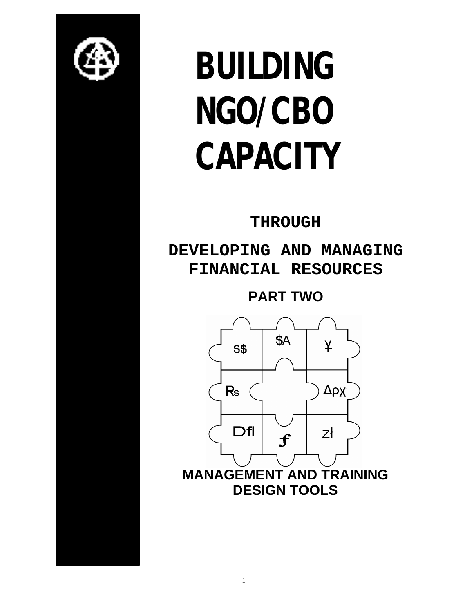

# **BUILDING NGO/CBO CAPACITY**

# **THROUGH**

**DEVELOPING AND MANAGING FINANCIAL RESOURCES**

**PART TWO**

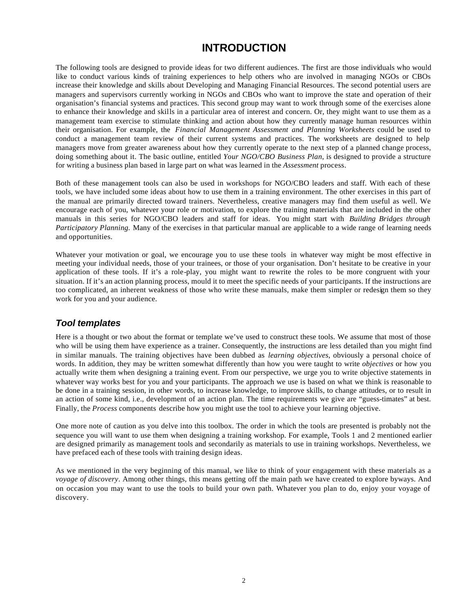## **INTRODUCTION**

The following tools are designed to provide ideas for two different audiences. The first are those individuals who would like to conduct various kinds of training experiences to help others who are involved in managing NGOs or CBOs increase their knowledge and skills about Developing and Managing Financial Resources. The second potential users are managers and supervisors currently working in NGOs and CBOs who want to improve the state and operation of their organisation's financial systems and practices. This second group may want to work through some of the exercises alone to enhance their knowledge and skills in a particular area of interest and concern. Or, they might want to use them as a management team exercise to stimulate thinking and action about how they currently manage human resources within their organisation. For example, the *Financial Management Assessment and Planning Worksheets* could be used to conduct a management team review of their current systems and practices. The worksheets are designed to help managers move from greater awareness about how they currently operate to the next step of a planned change process, doing something about it. The basic outline, entitled *Your NGO/CBO Business Plan*, is designed to provide a structure for writing a business plan based in large part on what was learned in the *Assessment* process.

Both of these management tools can also be used in workshops for NGO/CBO leaders and staff. With each of these tools, we have included some ideas about how to use them in a training environment. The other exercises in this part of the manual are primarily directed toward trainers. Nevertheless, creative managers may find them useful as well. We encourage each of you, whatever your role or motivation, to explore the training materials that are included in the other manuals in this series for NGO/CBO leaders and staff for ideas. You might start with *Building Bridges through Participatory Planning.* Many of the exercises in that particular manual are applicable to a wide range of learning needs and opportunities.

Whatever your motivation or goal, we encourage you to use these tools in whatever way might be most effective in meeting your individual needs, those of your trainees, or those of your organisation. Don't hesitate to be creative in your application of these tools. If it's a role-play, you might want to rewrite the roles to be more congruent with your situation. If it's an action planning process, mould it to meet the specific needs of your participants. If the instructions are too complicated, an inherent weakness of those who write these manuals, make them simpler or redesign them so they work for you and your audience.

#### *Tool templates*

Here is a thought or two about the format or template we've used to construct these tools. We assume that most of those who will be using them have experience as a trainer. Consequently, the instructions are less detailed than you might find in similar manuals. The training objectives have been dubbed as *learning objectives*, obviously a personal choice of words. In addition, they may be written somewhat differently than how you were taught to write *objectives* or how you actually write them when designing a training event. From our perspective, we urge you to write objective statements in whatever way works best for you and your participants. The approach we use is based on what we think is reasonable to be done in a training session, in other words, to increase knowledge, to improve skills, to change attitudes, or to result in an action of some kind, i.e., development of an action plan. The time requirements we give are "guess-timates" at best. Finally, the *Process* components describe how you might use the tool to achieve your learning objective.

One more note of caution as you delve into this toolbox. The order in which the tools are presented is probably not the sequence you will want to use them when designing a training workshop. For example, Tools 1 and 2 mentioned earlier are designed primarily as management tools and secondarily as materials to use in training workshops. Nevertheless, we have prefaced each of these tools with training design ideas.

As we mentioned in the very beginning of this manual, we like to think of your engagement with these materials as a *voyage of discovery*. Among other things, this means getting off the main path we have created to explore byways. And on occasion you may want to use the tools to build your own path. Whatever you plan to do, enjoy your voyage of discovery.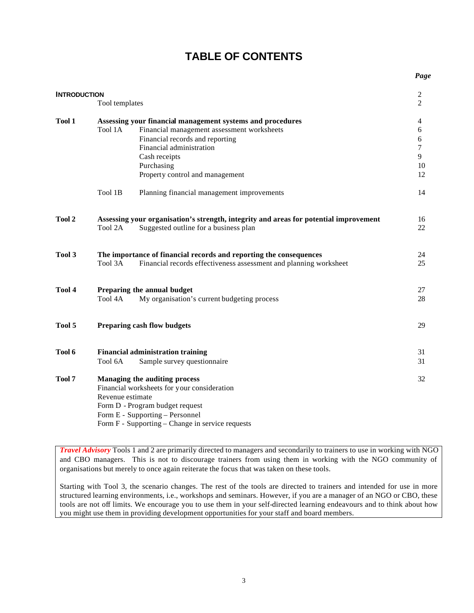# **TABLE OF CONTENTS**

| <b>INTRODUCTION</b> | Tool templates   |                                                                                                                                                                                                                                           | $\overline{c}$<br>$\overline{c}$  |
|---------------------|------------------|-------------------------------------------------------------------------------------------------------------------------------------------------------------------------------------------------------------------------------------------|-----------------------------------|
| <b>Tool 1</b>       | Tool 1A          | Assessing your financial management systems and procedures<br>Financial management assessment worksheets<br>Financial records and reporting<br>Financial administration<br>Cash receipts<br>Purchasing<br>Property control and management | 4<br>6<br>6<br>7<br>9<br>10<br>12 |
|                     | Tool 1B          | Planning financial management improvements                                                                                                                                                                                                | 14                                |
| <b>Tool 2</b>       | Tool 2A          | Assessing your organisation's strength, integrity and areas for potential improvement<br>Suggested outline for a business plan                                                                                                            | 16<br>22                          |
| <b>Tool 3</b>       | Tool 3A          | The importance of financial records and reporting the consequences<br>Financial records effectiveness assessment and planning worksheet                                                                                                   | 24<br>25                          |
| Tool 4              | Tool 4A          | Preparing the annual budget<br>My organisation's current budgeting process                                                                                                                                                                | 27<br>28                          |
| Tool 5              |                  | <b>Preparing cash flow budgets</b>                                                                                                                                                                                                        | 29                                |
| Tool 6              | Tool 6A          | <b>Financial administration training</b><br>Sample survey questionnaire                                                                                                                                                                   | 31<br>31                          |
| <b>Tool 7</b>       | Revenue estimate | Managing the auditing process<br>Financial worksheets for your consideration<br>Form D - Program budget request<br>Form E - Supporting – Personnel<br>Form F - Supporting – Change in service requests                                    | 32                                |

*Travel Advisory* Tools 1 and 2 are primarily directed to managers and secondarily to trainers to use in working with NGO and CBO managers. This is not to discourage trainers from using them in working with the NGO community of organisations but merely to once again reiterate the focus that was taken on these tools.

Starting with Tool 3, the scenario changes. The rest of the tools are directed to trainers and intended for use in more structured learning environments, i.e., workshops and seminars. However, if you are a manager of an NGO or CBO, these tools are not off limits. We encourage you to use them in your self-directed learning endeavours and to think about how you might use them in providing development opportunities for your staff and board members.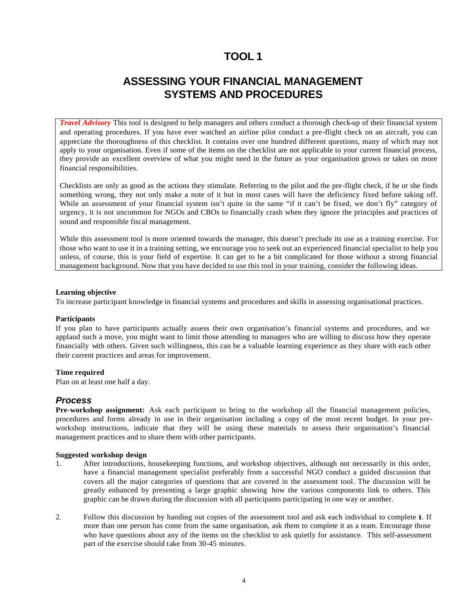## **ASSESSING YOUR FINANCIAL MANAGEMENT SYSTEMS AND PROCEDURES**

*Travel Advisory* This tool is designed to help managers and others conduct a thorough check-up of their financial system and operating procedures. If you have ever watched an airline pilot conduct a pre-flight check on an aircraft, you can appreciate the thoroughness of this checklist. It contains over one hundred different questions, many of which may not apply to your organisation. Even if some of the items on the checklist are not applicable to your current financial process, they provide an excellent overview of what you might need in the future as your organisation grows or takes on more financial responsibilities.

Checklists are only as good as the actions they stimulate. Referring to the pilot and the pre-flight check, if he or she finds something wrong, they not only make a note of it but in most cases will have the deficiency fixed before taking off. While an assessment of your financial system isn't quite in the same "if it can't be fixed, we don't fly" category of urgency, it is not uncommon for NGOs and CBOs to financially crash when they ignore the principles and practices of sound and responsible fiscal management.

While this assessment tool is more oriented towards the manager, this doesn't preclude its use as a training exercise. For those who want to use it in a training setting, we encourage you to seek out an experienced financial specialist to help you unless, of course, this is your field of expertise. It can get to be a bit complicated for those without a strong financial management background. Now that you have decided to use this tool in your training, consider the following ideas.

#### **Learning objective**

To increase participant knowledge in financial systems and procedures and skills in assessing organisational practices.

#### **Participants**

If you plan to have participants actually assess their own organisation's financial systems and procedures, and we applaud such a move, you might want to limit those attending to managers who are willing to discuss how they operate financially with others. Given such willingness, this can be a valuable learning experience as they share with each other their current practices and areas for improvement.

#### **Time required**

Plan on at least one half a day.

#### *Process*

**Pre-workshop assignment:** Ask each participant to bring to the workshop all the financial management policies, procedures and forms already in use in their organisation including a copy of the most recent budget. In your preworkshop instructions, indicate that they will be using these materials to assess their organisation's financial management practices and to share them with other participants.

#### **Suggested workshop design**

- 1. After introductions, housekeeping functions, and workshop objectives, although not necessarily in this order, have a financial management specialist preferably from a successful NGO conduct a guided discussion that covers all the major categories of questions that are covered in the assessment tool. The discussion will be greatly enhanced by presenting a large graphic showing how the various components link to others. This graphic can be drawn during the discussion with all participants participating in one way or another.
- 2. Follow this discussion by handing out copies of the assessment tool and ask each individual to complete it. If more than one person has come from the same organisation, ask them to complete it as a team. Encourage those who have questions about any of the items on the checklist to ask quietly for assistance. This self-assessment part of the exercise should take from 30-45 minutes.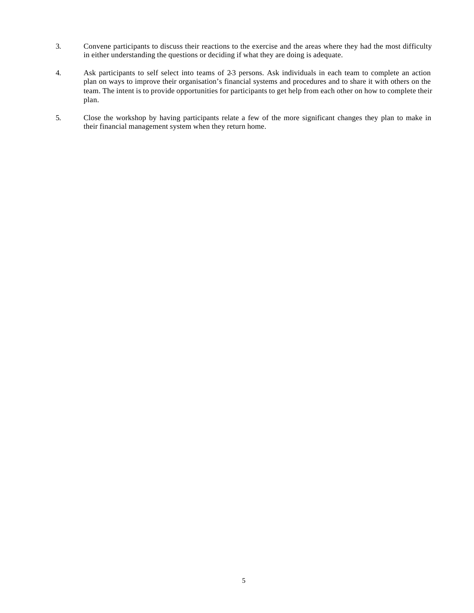- 3. Convene participants to discuss their reactions to the exercise and the areas where they had the most difficulty in either understanding the questions or deciding if what they are doing is adequate.
- 4. Ask participants to self select into teams of 2-3 persons. Ask individuals in each team to complete an action plan on ways to improve their organisation's financial systems and procedures and to share it with others on the team. The intent is to provide opportunities for participants to get help from each other on how to complete their plan.
- 5. Close the workshop by having participants relate a few of the more significant changes they plan to make in their financial management system when they return home.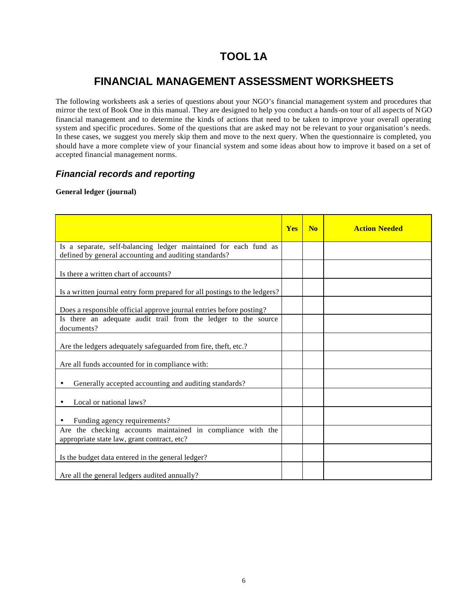# **TOOL 1A**

# **FINANCIAL MANAGEMENT ASSESSMENT WORKSHEETS**

The following worksheets ask a series of questions about your NGO's financial management system and procedures that mirror the text of Book One in this manual. They are designed to help you conduct a hands-on tour of all aspects of NGO financial management and to determine the kinds of actions that need to be taken to improve your overall operating system and specific procedures. Some of the questions that are asked may not be relevant to your organisation's needs. In these cases, we suggest you merely skip them and move to the next query. When the questionnaire is completed, you should have a more complete view of your financial system and some ideas about how to improve it based on a set of accepted financial management norms.

## *Financial records and reporting*

#### **General ledger (journal)**

|                                                                                                                           | <b>Yes</b> | N <sub>0</sub> | <b>Action Needed</b> |
|---------------------------------------------------------------------------------------------------------------------------|------------|----------------|----------------------|
| Is a separate, self-balancing ledger maintained for each fund as<br>defined by general accounting and auditing standards? |            |                |                      |
| Is there a written chart of accounts?                                                                                     |            |                |                      |
| Is a written journal entry form prepared for all postings to the ledgers?                                                 |            |                |                      |
| Does a responsible official approve journal entries before posting?                                                       |            |                |                      |
| Is there an adequate audit trail from the ledger to the source<br>documents?                                              |            |                |                      |
| Are the ledgers adequately safeguarded from fire, theft, etc.?                                                            |            |                |                      |
| Are all funds accounted for in compliance with:                                                                           |            |                |                      |
| Generally accepted accounting and auditing standards?                                                                     |            |                |                      |
| Local or national laws?<br>$\bullet$                                                                                      |            |                |                      |
| Funding agency requirements?                                                                                              |            |                |                      |
| Are the checking accounts maintained in compliance with the<br>appropriate state law, grant contract, etc?                |            |                |                      |
| Is the budget data entered in the general ledger?                                                                         |            |                |                      |
| Are all the general ledgers audited annually?                                                                             |            |                |                      |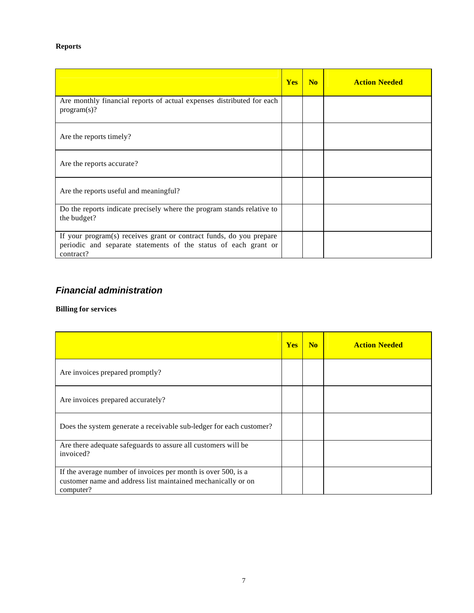## **Reports**

|                                                                                                                                                     | <b>Yes</b> | No | <b>Action Needed</b> |
|-----------------------------------------------------------------------------------------------------------------------------------------------------|------------|----|----------------------|
| Are monthly financial reports of actual expenses distributed for each<br>program(s)?                                                                |            |    |                      |
| Are the reports timely?                                                                                                                             |            |    |                      |
| Are the reports accurate?                                                                                                                           |            |    |                      |
| Are the reports useful and meaningful?                                                                                                              |            |    |                      |
| Do the reports indicate precisely where the program stands relative to<br>the budget?                                                               |            |    |                      |
| If your program(s) receives grant or contract funds, do you prepare<br>periodic and separate statements of the status of each grant or<br>contract? |            |    |                      |

## *Financial administration*

## **Billing for services**

|                                                                                                                                            | <b>Yes</b> | N <sub>0</sub> | <b>Action Needed</b> |
|--------------------------------------------------------------------------------------------------------------------------------------------|------------|----------------|----------------------|
| Are invoices prepared promptly?                                                                                                            |            |                |                      |
| Are invoices prepared accurately?                                                                                                          |            |                |                      |
| Does the system generate a receivable sub-ledger for each customer?                                                                        |            |                |                      |
| Are there adequate safeguards to assure all customers will be<br>invoiced?                                                                 |            |                |                      |
| If the average number of invoices per month is over 500, is a<br>customer name and address list maintained mechanically or on<br>computer? |            |                |                      |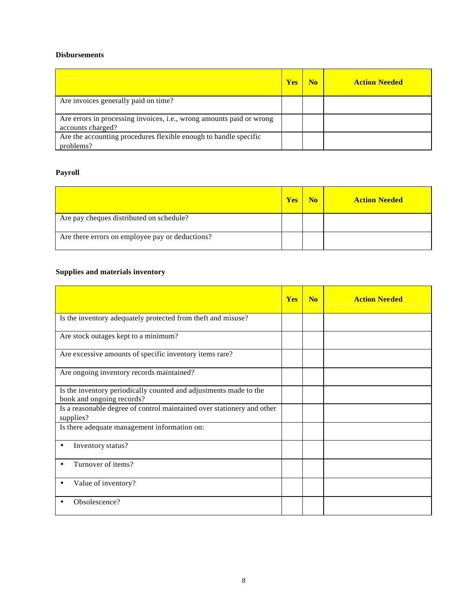#### **Disbursements**

|                                                                                           | <b>Yes</b> | N <sub>0</sub> | <b>Action Needed</b> |
|-------------------------------------------------------------------------------------------|------------|----------------|----------------------|
| Are invoices generally paid on time?                                                      |            |                |                      |
| Are errors in processing invoices, i.e., wrong amounts paid or wrong<br>accounts charged? |            |                |                      |
| Are the accounting procedures flexible enough to handle specific<br>problems?             |            |                |                      |

## **Payroll**

|                                                 | <b>Yes</b> | N <sub>0</sub> | <b>Action Needed</b> |
|-------------------------------------------------|------------|----------------|----------------------|
| Are pay cheques distributed on schedule?        |            |                |                      |
| Are there errors on employee pay or deductions? |            |                |                      |

## **Supplies and materials inventory**

|                                                                                                | <b>Yes</b> | N <sub>0</sub> | <b>Action Needed</b> |
|------------------------------------------------------------------------------------------------|------------|----------------|----------------------|
| Is the inventory adequately protected from theft and misuse?                                   |            |                |                      |
| Are stock outages kept to a minimum?                                                           |            |                |                      |
| Are excessive amounts of specific inventory items rare?                                        |            |                |                      |
| Are ongoing inventory records maintained?                                                      |            |                |                      |
| Is the inventory periodically counted and adjustments made to the<br>book and ongoing records? |            |                |                      |
| Is a reasonable degree of control maintained over stationery and other<br>supplies?            |            |                |                      |
| Is there adequate management information on:                                                   |            |                |                      |
| Inventory status?<br>٠                                                                         |            |                |                      |
| Turnover of items?                                                                             |            |                |                      |
| Value of inventory?                                                                            |            |                |                      |
| Obsolescence?                                                                                  |            |                |                      |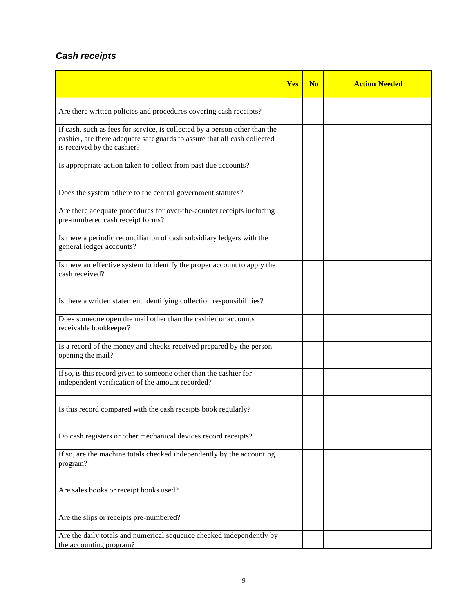## *Cash receipts*

|                                                                                                                                                                                       | <b>Yes</b> | N <sub>0</sub> | <b>Action Needed</b> |
|---------------------------------------------------------------------------------------------------------------------------------------------------------------------------------------|------------|----------------|----------------------|
| Are there written policies and procedures covering cash receipts?                                                                                                                     |            |                |                      |
| If cash, such as fees for service, is collected by a person other than the<br>cashier, are there adequate safeguards to assure that all cash collected<br>is received by the cashier? |            |                |                      |
| Is appropriate action taken to collect from past due accounts?                                                                                                                        |            |                |                      |
| Does the system adhere to the central government statutes?                                                                                                                            |            |                |                      |
| Are there adequate procedures for over-the-counter receipts including<br>pre-numbered cash receipt forms?                                                                             |            |                |                      |
| Is there a periodic reconciliation of cash subsidiary ledgers with the<br>general ledger accounts?                                                                                    |            |                |                      |
| Is there an effective system to identify the proper account to apply the<br>cash received?                                                                                            |            |                |                      |
| Is there a written statement identifying collection responsibilities?                                                                                                                 |            |                |                      |
| Does someone open the mail other than the cashier or accounts<br>receivable bookkeeper?                                                                                               |            |                |                      |
| Is a record of the money and checks received prepared by the person<br>opening the mail?                                                                                              |            |                |                      |
| If so, is this record given to someone other than the cashier for<br>independent verification of the amount recorded?                                                                 |            |                |                      |
| Is this record compared with the cash receipts book regularly?                                                                                                                        |            |                |                      |
| Do cash registers or other mechanical devices record receipts?                                                                                                                        |            |                |                      |
| If so, are the machine totals checked independently by the accounting<br>program?                                                                                                     |            |                |                      |
| Are sales books or receipt books used?                                                                                                                                                |            |                |                      |
| Are the slips or receipts pre-numbered?                                                                                                                                               |            |                |                      |
| Are the daily totals and numerical sequence checked independently by<br>the accounting program?                                                                                       |            |                |                      |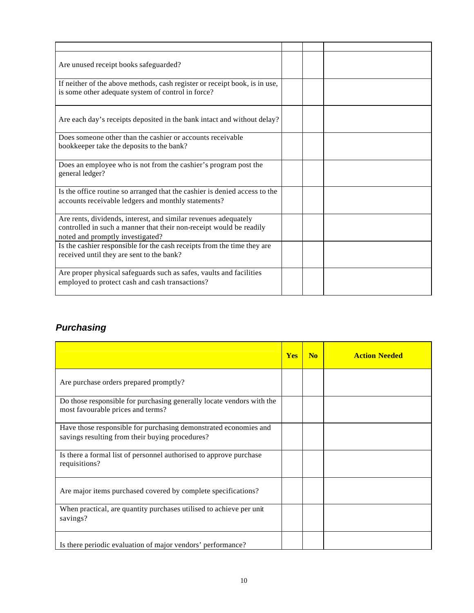| Are unused receipt books safeguarded?                                                                                                                                      |  |  |
|----------------------------------------------------------------------------------------------------------------------------------------------------------------------------|--|--|
| If neither of the above methods, cash register or receipt book, is in use,<br>is some other adequate system of control in force?                                           |  |  |
| Are each day's receipts deposited in the bank intact and without delay?                                                                                                    |  |  |
| Does someone other than the cashier or accounts receivable<br>bookkeeper take the deposits to the bank?                                                                    |  |  |
| Does an employee who is not from the cashier's program post the<br>general ledger?                                                                                         |  |  |
| Is the office routine so arranged that the cashier is denied access to the<br>accounts receivable ledgers and monthly statements?                                          |  |  |
| Are rents, dividends, interest, and similar revenues adequately<br>controlled in such a manner that their non-receipt would be readily<br>noted and promptly investigated? |  |  |
| Is the cashier responsible for the cash receipts from the time they are<br>received until they are sent to the bank?                                                       |  |  |
| Are proper physical safeguards such as safes, vaults and facilities<br>employed to protect cash and cash transactions?                                                     |  |  |

# *Purchasing*

|                                                                                                                     | <b>Yes</b> | N <sub>0</sub> | <b>Action Needed</b> |
|---------------------------------------------------------------------------------------------------------------------|------------|----------------|----------------------|
| Are purchase orders prepared promptly?                                                                              |            |                |                      |
| Do those responsible for purchasing generally locate vendors with the<br>most favourable prices and terms?          |            |                |                      |
| Have those responsible for purchasing demonstrated economies and<br>savings resulting from their buying procedures? |            |                |                      |
| Is there a formal list of personnel authorised to approve purchase<br>requisitions?                                 |            |                |                      |
| Are major items purchased covered by complete specifications?                                                       |            |                |                      |
| When practical, are quantity purchases utilised to achieve per unit<br>savings?                                     |            |                |                      |
| Is there periodic evaluation of major vendors' performance?                                                         |            |                |                      |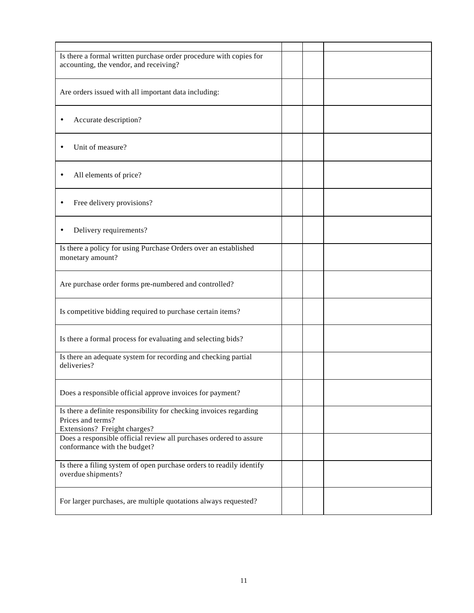| Is there a formal written purchase order procedure with copies for<br>accounting, the vendor, and receiving?            |  |  |
|-------------------------------------------------------------------------------------------------------------------------|--|--|
| Are orders issued with all important data including:                                                                    |  |  |
| Accurate description?                                                                                                   |  |  |
| Unit of measure?                                                                                                        |  |  |
| All elements of price?<br>$\bullet$                                                                                     |  |  |
| Free delivery provisions?                                                                                               |  |  |
| Delivery requirements?<br>٠                                                                                             |  |  |
| Is there a policy for using Purchase Orders over an established<br>monetary amount?                                     |  |  |
| Are purchase order forms pre-numbered and controlled?                                                                   |  |  |
| Is competitive bidding required to purchase certain items?                                                              |  |  |
| Is there a formal process for evaluating and selecting bids?                                                            |  |  |
| Is there an adequate system for recording and checking partial<br>deliveries?                                           |  |  |
| Does a responsible official approve invoices for payment?                                                               |  |  |
| Is there a definite responsibility for checking invoices regarding<br>Prices and terms?<br>Extensions? Freight charges? |  |  |
| Does a responsible official review all purchases ordered to assure<br>conformance with the budget?                      |  |  |
| Is there a filing system of open purchase orders to readily identify<br>overdue shipments?                              |  |  |
| For larger purchases, are multiple quotations always requested?                                                         |  |  |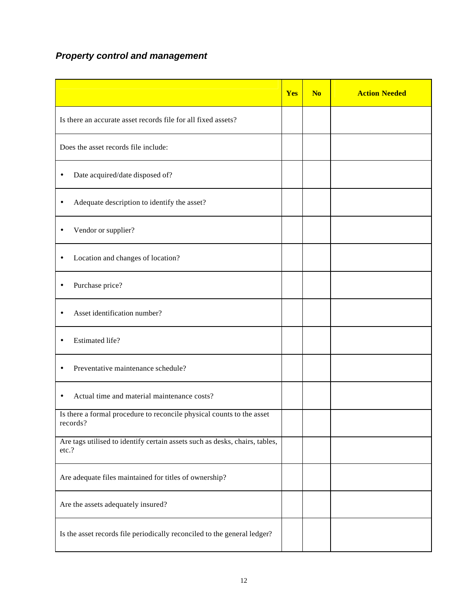# *Property control and management*

|                                                                                      | Yes | N <sub>o</sub> | <b>Action Needed</b> |
|--------------------------------------------------------------------------------------|-----|----------------|----------------------|
| Is there an accurate asset records file for all fixed assets?                        |     |                |                      |
| Does the asset records file include:                                                 |     |                |                      |
| Date acquired/date disposed of?<br>٠                                                 |     |                |                      |
| Adequate description to identify the asset?<br>$\bullet$                             |     |                |                      |
| Vendor or supplier?<br>$\bullet$                                                     |     |                |                      |
| Location and changes of location?<br>$\bullet$                                       |     |                |                      |
| Purchase price?<br>٠                                                                 |     |                |                      |
| Asset identification number?<br>٠                                                    |     |                |                      |
| Estimated life?<br>$\bullet$                                                         |     |                |                      |
| Preventative maintenance schedule?<br>$\bullet$                                      |     |                |                      |
| Actual time and material maintenance costs?<br>$\bullet$                             |     |                |                      |
| Is there a formal procedure to reconcile physical counts to the asset<br>records?    |     |                |                      |
| Are tags utilised to identify certain assets such as desks, chairs, tables,<br>etc.? |     |                |                      |
| Are adequate files maintained for titles of ownership?                               |     |                |                      |
| Are the assets adequately insured?                                                   |     |                |                      |
| Is the asset records file periodically reconciled to the general ledger?             |     |                |                      |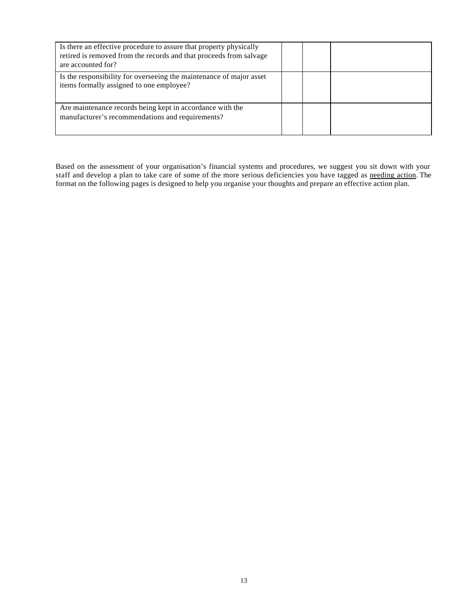| Is there an effective procedure to assure that property physically<br>retired is removed from the records and that proceeds from salvage<br>are accounted for? |  |  |
|----------------------------------------------------------------------------------------------------------------------------------------------------------------|--|--|
| Is the responsibility for overseeing the maintenance of major asset<br>items formally assigned to one employee?                                                |  |  |
| Are maintenance records being kept in accordance with the<br>manufacturer's recommendations and requirements?                                                  |  |  |

Based on the assessment of your organisation's financial systems and procedures, we suggest you sit down with your staff and develop a plan to take care of some of the more serious deficiencies you have tagged as needing action. The format on the following pages is designed to help you organise your thoughts and prepare an effective action plan.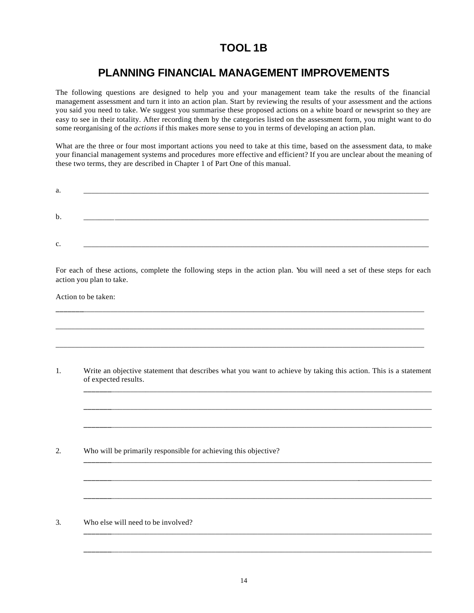# **TOOL 1B**

# **PLANNING FINANCIAL MANAGEMENT IMPROVEMENTS**

The following questions are designed to help you and your management team take the results of the financial management assessment and turn it into an action plan. Start by reviewing the results of your assessment and the actions you said you need to take. We suggest you summarise these proposed actions on a white board or newsprint so they are easy to see in their totality. After recording them by the categories listed on the assessment form, you might want to do some reorganising of the *actions* if this makes more sense to you in terms of developing an action plan.

What are the three or four most important actions you need to take at this time, based on the assessment data, to make your financial management systems and procedures more effective and efficient? If you are unclear about the meaning of these two terms, they are described in Chapter 1 of Part One of this manual.

| a. | ____ |  |  |  |  |
|----|------|--|--|--|--|
| b. |      |  |  |  |  |
| c. | ____ |  |  |  |  |

For each of these actions, complete the following steps in the action plan. You will need a set of these steps for each action you plan to take.

**\_\_\_\_\_\_\_**\_\_\_\_\_\_\_\_\_\_\_\_\_\_\_\_\_\_\_\_\_\_\_\_\_\_\_\_\_\_\_\_\_\_\_\_\_\_\_\_\_\_\_\_\_\_\_\_\_\_\_\_\_\_\_\_\_\_\_\_\_\_\_\_\_\_\_\_\_\_\_\_\_\_\_\_\_\_\_\_\_\_\_\_\_\_\_\_

\_\_\_\_\_\_\_\_\_\_\_\_\_\_\_\_\_\_\_\_\_\_\_\_\_\_\_\_\_\_\_\_\_\_\_\_\_\_\_\_\_\_\_\_\_\_\_\_\_\_\_\_\_\_\_\_\_\_\_\_\_\_\_\_\_\_\_\_\_\_\_\_\_\_\_\_\_\_\_\_\_\_\_\_\_\_\_\_\_\_\_\_\_\_\_

\_\_\_\_\_\_\_\_\_\_\_\_\_\_\_\_\_\_\_\_\_\_\_\_\_\_\_\_\_\_\_\_\_\_\_\_\_\_\_\_\_\_\_\_\_\_\_\_\_\_\_\_\_\_\_\_\_\_\_\_\_\_\_\_\_\_\_\_\_\_\_\_\_\_\_\_\_\_\_\_\_\_\_\_\_\_\_\_\_\_\_\_\_\_\_

Action to be taken:

1. Write an objective statement that describes what you want to achieve by taking this action. This is a statement of expected results.

**\_\_\_\_\_\_\_**\_\_\_\_\_\_\_\_\_\_\_\_\_\_\_\_\_\_\_\_\_\_\_\_\_\_\_\_\_\_\_\_\_\_\_\_\_\_\_\_\_\_\_\_\_\_\_\_\_\_\_\_\_\_\_\_\_\_\_\_\_\_\_\_\_\_\_\_\_\_\_\_\_\_\_\_\_\_\_\_\_\_\_

**\_\_\_\_\_\_\_**\_\_\_\_\_\_\_\_\_\_\_\_\_\_\_\_\_\_\_\_\_\_\_\_\_\_\_\_\_\_\_\_\_\_\_\_\_\_\_\_\_\_\_\_\_\_\_\_\_\_\_\_\_\_\_\_\_\_\_\_\_\_\_\_\_\_\_\_\_\_\_\_\_\_\_\_\_\_\_\_\_\_\_

**\_\_\_\_\_\_\_**\_\_\_\_\_\_\_\_\_\_\_\_\_\_\_\_\_\_\_\_\_\_\_\_\_\_\_\_\_\_\_\_\_\_\_\_\_\_\_\_\_\_\_\_\_\_\_\_\_\_\_\_\_\_\_\_\_\_\_\_\_\_\_\_\_\_\_\_\_\_\_\_\_\_\_\_\_\_\_\_\_\_\_

**\_\_\_\_\_\_\_**\_\_\_\_\_\_\_\_\_\_\_\_\_\_\_\_\_\_\_\_\_\_\_\_\_\_\_\_\_\_\_\_\_\_\_\_\_\_\_\_\_\_\_\_\_\_\_\_\_\_\_\_\_\_\_\_\_\_\_\_\_\_\_\_\_\_\_\_\_\_\_\_\_\_\_\_\_\_\_\_\_\_\_

**\_\_\_\_\_\_\_**\_\_\_\_\_\_\_\_\_\_\_\_\_\_\_\_\_\_\_\_\_\_\_\_\_\_\_\_\_\_\_\_\_\_\_\_\_\_\_\_\_\_\_\_\_\_\_\_\_\_\_\_\_\_\_\_\_\_\_\_\_\_\_\_\_\_\_\_\_\_\_\_\_\_\_\_\_\_\_\_\_\_\_

**\_\_\_\_\_\_\_**\_\_\_\_\_\_\_\_\_\_\_\_\_\_\_\_\_\_\_\_\_\_\_\_\_\_\_\_\_\_\_\_\_\_\_\_\_\_\_\_\_\_\_\_\_\_\_\_\_\_\_\_\_\_\_\_\_\_\_\_\_\_\_\_\_\_\_\_\_\_\_\_\_\_\_\_\_\_\_\_\_\_\_

**\_\_\_\_\_\_\_**\_\_\_\_\_\_\_\_\_\_\_\_\_\_\_\_\_\_\_\_\_\_\_\_\_\_\_\_\_\_\_\_\_\_\_\_\_\_\_\_\_\_\_\_\_\_\_\_\_\_\_\_\_\_\_\_\_\_\_\_\_\_\_\_\_\_\_\_\_\_\_\_\_\_\_\_\_\_\_\_\_\_\_

**\_\_\_\_\_\_\_**\_\_\_\_\_\_\_\_\_\_\_\_\_\_\_\_\_\_\_\_\_\_\_\_\_\_\_\_\_\_\_\_\_\_\_\_\_\_\_\_\_\_\_\_\_\_\_\_\_\_\_\_\_\_\_\_\_\_\_\_\_\_\_\_\_\_\_\_\_\_\_\_\_\_\_\_\_\_\_\_\_\_\_

2. Who will be primarily responsible for achieving this objective?

3. Who else will need to be involved?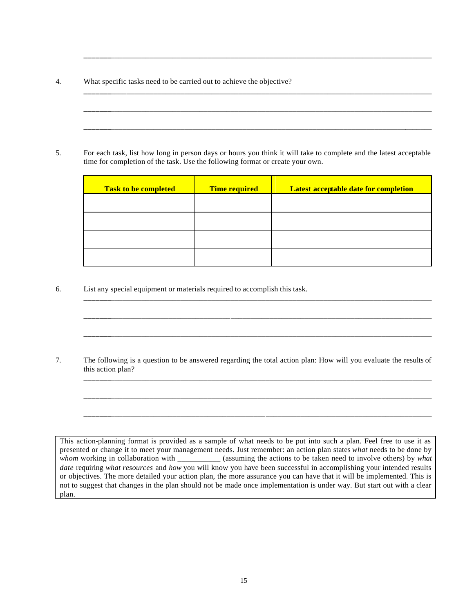4. What specific tasks need to be carried out to achieve the objective?

5. For each task, list how long in person days or hours you think it will take to complete and the latest acceptable time for completion of the task. Use the following format or create your own.

| <b>Task to be completed</b> | <b>Time required</b> | <b>Latest acceptable date for completion</b> |
|-----------------------------|----------------------|----------------------------------------------|
|                             |                      |                                              |
|                             |                      |                                              |
|                             |                      |                                              |
|                             |                      |                                              |

**\_\_\_\_\_\_\_**\_\_\_\_\_\_\_\_\_\_\_\_\_\_\_\_\_\_\_\_\_\_\_\_\_\_\_\_\_\_\_\_\_\_\_\_\_\_\_\_\_\_\_\_\_\_\_\_\_\_\_\_\_\_\_\_\_\_\_\_\_\_\_\_\_\_\_\_\_\_\_\_\_\_\_\_\_\_\_\_\_\_\_

**\_\_\_\_\_\_\_**\_\_\_\_\_\_\_\_\_\_\_\_\_\_\_\_\_\_\_\_\_\_\_\_\_\_\_\_\_\_\_\_\_\_\_\_\_\_\_\_\_\_\_\_\_\_\_\_\_\_\_\_\_\_\_\_\_\_\_\_\_\_\_\_\_\_\_\_\_\_\_\_\_\_\_\_\_\_\_\_\_\_\_

**\_\_\_\_\_\_\_**\_\_\_\_\_\_\_\_\_\_\_\_\_\_\_\_\_\_\_\_\_\_\_\_\_\_\_\_\_\_\_\_\_\_\_\_\_\_\_\_\_\_\_\_\_\_\_\_\_\_\_\_\_\_\_\_\_\_\_\_\_\_\_\_\_\_\_\_\_\_\_\_\_\_\_\_\_\_\_\_\_\_\_

**\_\_\_\_\_\_\_**\_\_\_\_\_\_\_\_\_\_\_\_\_\_\_\_\_\_\_\_\_\_\_\_\_\_\_\_\_\_\_\_\_\_\_\_\_\_\_\_\_\_\_\_\_\_\_\_\_\_\_\_\_\_\_\_\_\_\_\_\_\_\_\_\_\_\_\_\_\_\_\_\_\_\_\_\_\_\_\_\_\_\_

**\_\_\_\_\_\_\_**\_\_\_\_\_\_\_\_\_\_\_\_\_\_\_\_\_\_\_\_\_\_\_\_\_\_\_\_\_\_\_\_\_\_\_\_\_\_\_\_\_\_\_\_\_\_\_\_\_\_\_\_\_\_\_\_\_\_\_\_\_\_\_\_\_\_\_\_\_\_\_\_\_\_\_\_\_\_\_\_\_\_\_

**\_\_\_\_\_\_\_**\_\_\_\_\_\_\_\_\_\_\_\_\_\_\_\_\_\_\_\_\_\_\_\_\_\_\_\_\_\_\_\_\_\_\_\_\_\_\_\_\_\_\_\_\_\_\_\_\_\_\_\_\_\_\_\_\_\_\_\_\_\_\_\_\_\_\_\_\_\_\_\_\_\_\_\_\_\_\_\_\_\_\_

**\_\_\_\_\_\_\_**\_\_\_\_\_\_\_\_\_\_\_\_\_\_\_\_\_\_\_\_\_\_\_\_\_\_\_\_\_\_\_\_\_\_\_\_\_\_\_\_\_\_\_\_\_\_\_\_\_\_\_\_\_\_\_\_\_\_\_\_\_\_\_\_\_\_\_\_\_\_\_\_\_\_\_\_\_\_\_\_\_\_\_

**\_\_\_\_\_\_\_**\_\_\_\_\_\_\_\_\_\_\_\_\_\_\_\_\_\_\_\_\_\_\_\_\_\_\_\_\_\_\_\_\_\_\_\_\_\_\_\_\_\_\_\_\_\_\_\_\_\_\_\_\_\_\_\_\_\_\_\_\_\_\_\_\_\_\_\_\_\_\_\_\_\_\_\_\_\_\_\_\_\_\_

**\_\_\_\_\_\_\_**\_\_\_\_\_\_\_\_\_\_\_\_\_\_\_\_\_\_\_\_\_\_\_\_\_\_\_\_\_\_\_\_\_\_\_\_\_\_\_\_\_\_\_\_\_\_\_\_\_\_\_\_\_\_\_\_\_\_\_\_\_\_\_\_\_\_\_\_\_\_\_\_\_\_\_\_\_\_\_\_\_\_\_

**\_\_\_\_\_\_\_**\_\_\_\_\_\_\_\_\_\_\_\_\_\_\_\_\_\_\_\_\_\_\_\_\_\_\_\_\_\_\_\_\_\_\_\_\_\_\_\_\_\_\_\_\_\_\_\_\_\_\_\_\_\_\_\_\_\_\_\_\_\_\_\_\_\_\_\_\_\_\_\_\_\_\_\_\_\_\_\_\_\_\_

6. List any special equipment or materials required to accomplish this task.

7. The following is a question to be answered regarding the total action plan: How will you evaluate the results of this action plan?

This action-planning format is provided as a sample of what needs to be put into such a plan. Feel free to use it as presented or change it to meet your management needs. Just remember: an action plan states *what* needs to be done by *whom* working in collaboration with \_\_\_\_\_\_\_\_\_\_\_ (assuming the actions to be taken need to involve others) by *what date* requiring *what resources* and *how* you will know you have been successful in accomplishing your intended results or objectives. The more detailed your action plan, the more assurance you can have that it will be implemented. This is not to suggest that changes in the plan should not be made once implementation is under way. But start out with a clear plan.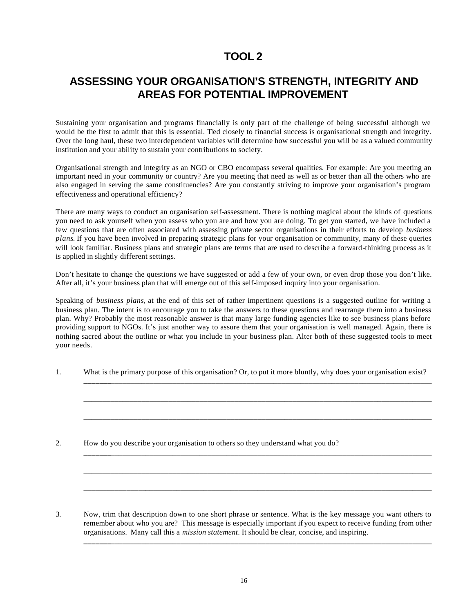## **ASSESSING YOUR ORGANISATION'S STRENGTH, INTEGRITY AND AREAS FOR POTENTIAL IMPROVEMENT**

Sustaining your organisation and programs financially is only part of the challenge of being successful although we would be the first to admit that this is essential. Tied closely to financial success is organisational strength and integrity. Over the long haul, these two interdependent variables will determine how successful you will be as a valued community institution and your ability to sustain your contributions to society.

Organisational strength and integrity as an NGO or CBO encompass several qualities. For example: Are you meeting an important need in your community or country? Are you meeting that need as well as or better than all the others who are also engaged in serving the same constituencies? Are you constantly striving to improve your organisation's program effectiveness and operational efficiency?

There are many ways to conduct an organisation self-assessment. There is nothing magical about the kinds of questions you need to ask yourself when you assess who you are and how you are doing. To get you started, we have included a few questions that are often associated with assessing private sector organisations in their efforts to develop *business plans*. If you have been involved in preparing strategic plans for your organisation or community, many of these queries will look familiar. Business plans and strategic plans are terms that are used to describe a forward-thinking process as it is applied in slightly different settings.

Don't hesitate to change the questions we have suggested or add a few of your own, or even drop those you don't like. After all, it's your business plan that will emerge out of this self-imposed inquiry into your organisation.

Speaking of *business plans*, at the end of this set of rather impertinent questions is a suggested outline for writing a business plan. The intent is to encourage you to take the answers to these questions and rearrange them into a business plan. Why? Probably the most reasonable answer is that many large funding agencies like to see business plans before providing support to NGOs. It's just another way to assure them that your organisation is well managed. Again, there is nothing sacred about the outline or what you include in your business plan. Alter both of these suggested tools to meet your needs.

1. What is the primary purpose of this organisation? Or, to put it more bluntly, why does your organisation exist?

**\_\_\_\_\_\_\_**\_\_\_\_\_\_\_\_\_\_\_\_\_\_\_\_\_\_\_\_\_\_\_\_\_\_\_\_\_\_\_\_\_\_\_\_\_\_\_\_\_\_\_\_\_\_\_\_\_\_\_\_\_\_\_\_\_\_\_\_\_\_\_\_\_\_\_\_\_\_\_\_\_\_\_\_\_\_\_\_\_\_\_

\_\_\_\_\_\_\_\_\_\_\_\_\_\_\_\_\_\_\_\_\_\_\_\_\_\_\_\_\_\_\_\_\_\_\_\_\_\_\_\_\_\_\_\_\_\_\_\_\_\_\_\_\_\_\_\_\_\_\_\_\_\_\_\_\_\_\_\_\_\_\_\_\_\_\_\_\_\_\_\_\_\_\_\_\_\_\_\_\_\_

\_\_\_\_\_\_\_\_\_\_\_\_\_\_\_\_\_\_\_\_\_\_\_\_\_\_\_\_\_\_\_\_\_\_\_\_\_\_\_\_\_\_\_\_\_\_\_\_\_\_\_\_\_\_\_\_\_\_\_\_\_\_\_\_\_\_\_\_\_\_\_\_\_\_\_\_\_\_\_\_\_\_\_\_\_\_\_\_\_\_

**\_\_\_\_\_\_\_**\_\_\_\_\_\_\_\_\_\_\_\_\_\_\_\_\_\_\_\_\_\_\_\_\_\_\_\_\_\_\_\_\_\_\_\_\_\_\_\_\_\_\_\_\_\_\_\_\_\_\_\_\_\_\_\_\_\_\_\_\_\_\_\_\_\_\_\_\_\_\_\_\_\_\_\_\_\_\_\_\_\_\_

\_\_\_\_\_\_\_\_\_\_\_\_\_\_\_\_\_\_\_\_\_\_\_\_\_\_\_\_\_\_\_\_\_\_\_\_\_\_\_\_\_\_\_\_\_\_\_\_\_\_\_\_\_\_\_\_\_\_\_\_\_\_\_\_\_\_\_\_\_\_\_\_\_\_\_\_\_\_\_\_\_\_\_\_\_\_\_\_\_\_

\_\_\_\_\_\_\_\_\_\_\_\_\_\_\_\_\_\_\_\_\_\_\_\_\_\_\_\_\_\_\_\_\_\_\_\_\_\_\_\_\_\_\_\_\_\_\_\_\_\_\_\_\_\_\_\_\_\_\_\_\_\_\_\_\_\_\_\_\_\_\_\_\_\_\_\_\_\_\_\_\_\_\_\_\_\_\_\_\_\_

2. How do you describe your organisation to others so they understand what you do?

3. Now, trim that description down to one short phrase or sentence. What is the key message you want others to remember about who you are? This message is especially important if you expect to receive funding from other organisations. Many call this a *mission statement*. It should be clear, concise, and inspiring. **\_\_\_\_\_\_\_**\_\_\_\_\_\_\_\_\_\_\_\_\_\_\_\_\_\_\_\_\_\_\_\_\_\_\_\_\_\_\_\_\_\_\_\_\_\_\_\_\_\_\_\_\_\_\_\_\_\_\_\_\_\_\_\_\_\_\_\_\_\_\_\_\_\_\_\_\_\_\_\_\_\_\_\_\_\_\_\_\_\_\_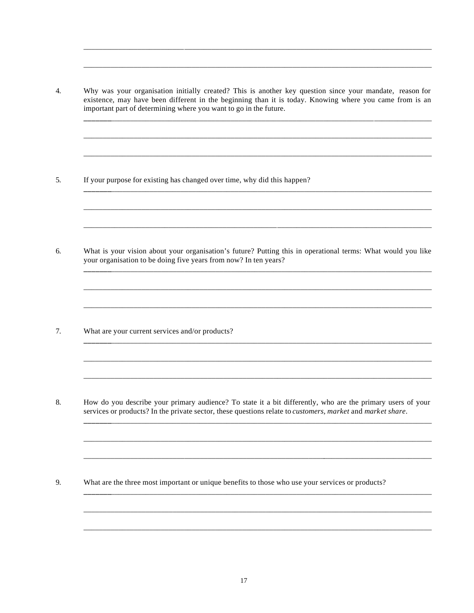$\overline{4}$ . Why was your organisation initially created? This is another key question since your mandate, reason for existence, may have been different in the beginning than it is today. Knowing where you came from is an important part of determining where you want to go in the future.

5. If your purpose for existing has changed over time, why did this happen?

6. What is your vision about your organisation's future? Putting this in operational terms: What would you like your organisation to be doing five years from now? In ten years?

 $7.$ What are your current services and/or products?

8. How do you describe your primary audience? To state it a bit differently, who are the primary users of your services or products? In the private sector, these questions relate to *customers, market* and *market share*.

9. What are the three most important or unique benefits to those who use your services or products?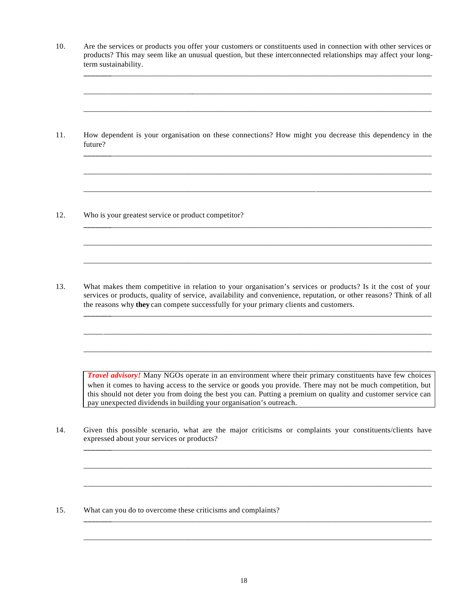10. Are the services or products you offer your customers or constituents used in connection with other services or products? This may seem like an unusual question, but these interconnected relationships may affect your longterm sustainability.

**\_\_\_\_\_\_\_**\_\_\_\_\_\_\_\_\_\_\_\_\_\_\_\_\_\_\_\_\_\_\_\_\_\_\_\_\_\_\_\_\_\_\_\_\_\_\_\_\_\_\_\_\_\_\_\_\_\_\_\_\_\_\_\_\_\_\_\_\_\_\_\_\_\_\_\_\_\_\_\_\_\_\_\_\_\_\_\_\_\_\_

\_\_\_\_\_\_\_\_\_\_\_\_\_\_\_\_\_\_\_\_\_\_\_\_\_\_\_\_\_\_\_\_\_\_\_\_\_\_\_\_\_\_\_\_\_\_\_\_\_\_\_\_\_\_\_\_\_\_\_\_\_\_\_\_\_\_\_\_\_\_\_\_\_\_\_\_\_\_\_\_\_\_\_\_\_\_\_\_\_\_

\_\_\_\_\_\_\_\_\_\_\_\_\_\_\_\_\_\_\_\_\_\_\_\_\_\_\_\_\_\_\_\_\_\_\_\_\_\_\_\_\_\_\_\_\_\_\_\_\_\_\_\_\_\_\_\_\_\_\_\_\_\_\_\_\_\_\_\_\_\_\_\_\_\_\_\_\_\_\_\_\_\_\_\_\_\_\_\_\_\_

**\_\_\_\_\_\_\_**\_\_\_\_\_\_\_\_\_\_\_\_\_\_\_\_\_\_\_\_\_\_\_\_\_\_\_\_\_\_\_\_\_\_\_\_\_\_\_\_\_\_\_\_\_\_\_\_\_\_\_\_\_\_\_\_\_\_\_\_\_\_\_\_\_\_\_\_\_\_\_\_\_\_\_\_\_\_\_\_\_\_\_

\_\_\_\_\_\_\_\_\_\_\_\_\_\_\_\_\_\_\_\_\_\_\_\_\_\_\_\_\_\_\_\_\_\_\_\_\_\_\_\_\_\_\_\_\_\_\_\_\_\_\_\_\_\_\_\_\_\_\_\_\_\_\_\_\_\_\_\_\_\_\_\_\_\_\_\_\_\_\_\_\_\_\_\_\_\_\_\_\_\_

\_\_\_\_\_\_\_\_\_\_\_\_\_\_\_\_\_\_\_\_\_\_\_\_\_\_\_\_\_\_\_\_\_\_\_\_\_\_\_\_\_\_\_\_\_\_\_\_\_\_\_\_\_\_\_\_\_\_\_\_\_\_\_\_\_\_\_\_\_\_\_\_\_\_\_\_\_\_\_\_\_\_\_\_\_\_\_\_\_\_

**\_\_\_\_\_\_\_**\_\_\_\_\_\_\_\_\_\_\_\_\_\_\_\_\_\_\_\_\_\_\_\_\_\_\_\_\_\_\_\_\_\_\_\_\_\_\_\_\_\_\_\_\_\_\_\_\_\_\_\_\_\_\_\_\_\_\_\_\_\_\_\_\_\_\_\_\_\_\_\_\_\_\_\_\_\_\_\_\_\_\_

\_\_\_\_\_\_\_\_\_\_\_\_\_\_\_\_\_\_\_\_\_\_\_\_\_\_\_\_\_\_\_\_\_\_\_\_\_\_\_\_\_\_\_\_\_\_\_\_\_\_\_\_\_\_\_\_\_\_\_\_\_\_\_\_\_\_\_\_\_\_\_\_\_\_\_\_\_\_\_\_\_\_\_\_\_\_\_\_\_\_

\_\_\_\_\_\_\_\_\_\_\_\_\_\_\_\_\_\_\_\_\_\_\_\_\_\_\_\_\_\_\_\_\_\_\_\_\_\_\_\_\_\_\_\_\_\_\_\_\_\_\_\_\_\_\_\_\_\_\_\_\_\_\_\_\_\_\_\_\_\_\_\_\_\_\_\_\_\_\_\_\_\_\_\_\_\_\_\_\_\_

**\_\_\_\_\_\_\_**\_\_\_\_\_\_\_\_\_\_\_\_\_\_\_\_\_\_\_\_\_\_\_\_\_\_\_\_\_\_\_\_\_\_\_\_\_\_\_\_\_\_\_\_\_\_\_\_\_\_\_\_\_\_\_\_\_\_\_\_\_\_\_\_\_\_\_\_\_\_\_\_\_\_\_\_\_\_\_\_\_\_\_

\_\_\_\_\_\_\_\_\_\_\_\_\_\_\_\_\_\_\_\_\_\_\_\_\_\_\_\_\_\_\_\_\_\_\_\_\_\_\_\_\_\_\_\_\_\_\_\_\_\_\_\_\_\_\_\_\_\_\_\_\_\_\_\_\_\_\_\_\_\_\_\_\_\_\_\_\_\_\_\_\_\_\_\_\_\_\_\_\_\_

\_\_\_\_\_\_\_\_\_\_\_\_\_\_\_\_\_\_\_\_\_\_\_\_\_\_\_\_\_\_\_\_\_\_\_\_\_\_\_\_\_\_\_\_\_\_\_\_\_\_\_\_\_\_\_\_\_\_\_\_\_\_\_\_\_\_\_\_\_\_\_\_\_\_\_\_\_\_\_\_\_\_\_\_\_\_\_\_\_\_

11. How dependent is your organisation on these connections? How might you decrease this dependency in the future?

12. Who is your greatest service or product competitor?

13. What makes them competitive in relation to your organisation's services or products? Is it the cost of your services or products, quality of service, availability and convenience, reputation, or other reasons? Think of all the reasons why **they** can compete successfully for your primary clients and customers.

*Travel advisory!* Many NGOs operate in an environment where their primary constituents have few choices when it comes to having access to the service or goods you provide. There may not be much competition, but this should not deter you from doing the best you can. Putting a premium on quality and customer service can pay unexpected dividends in building your organisation's outreach.

**\_\_\_\_\_\_\_**\_\_\_\_\_\_\_\_\_\_\_\_\_\_\_\_\_\_\_\_\_\_\_\_\_\_\_\_\_\_\_\_\_\_\_\_\_\_\_\_\_\_\_\_\_\_\_\_\_\_\_\_\_\_\_\_\_\_\_\_\_\_\_\_\_\_\_\_\_\_\_\_\_\_\_\_\_\_\_\_\_\_\_

\_\_\_\_\_\_\_\_\_\_\_\_\_\_\_\_\_\_\_\_\_\_\_\_\_\_\_\_\_\_\_\_\_\_\_\_\_\_\_\_\_\_\_\_\_\_\_\_\_\_\_\_\_\_\_\_\_\_\_\_\_\_\_\_\_\_\_\_\_\_\_\_\_\_\_\_\_\_\_\_\_\_\_\_\_\_\_\_\_\_

\_\_\_\_\_\_\_\_\_\_\_\_\_\_\_\_\_\_\_\_\_\_\_\_\_\_\_\_\_\_\_\_\_\_\_\_\_\_\_\_\_\_\_\_\_\_\_\_\_\_\_\_\_\_\_\_\_\_\_\_\_\_\_\_\_\_\_\_\_\_\_\_\_\_\_\_\_\_\_\_\_\_\_\_\_\_\_\_\_\_

**\_\_\_\_\_\_\_**\_\_\_\_\_\_\_\_\_\_\_\_\_\_\_\_\_\_\_\_\_\_\_\_\_\_\_\_\_\_\_\_\_\_\_\_\_\_\_\_\_\_\_\_\_\_\_\_\_\_\_\_\_\_\_\_\_\_\_\_\_\_\_\_\_\_\_\_\_\_\_\_\_\_\_\_\_\_\_\_\_\_\_

\_\_\_\_\_\_\_\_\_\_\_\_\_\_\_\_\_\_\_\_\_\_\_\_\_\_\_\_\_\_\_\_\_\_\_\_\_\_\_\_\_\_\_\_\_\_\_\_\_\_\_\_\_\_\_\_\_\_\_\_\_\_\_\_\_\_\_\_\_\_\_\_\_\_\_\_\_\_\_\_\_\_\_\_\_\_\_\_\_\_

14. Given this possible scenario, what are the major criticisms or complaints your constituents/clients have expressed about your services or products?

15. What can you do to overcome these criticisms and complaints?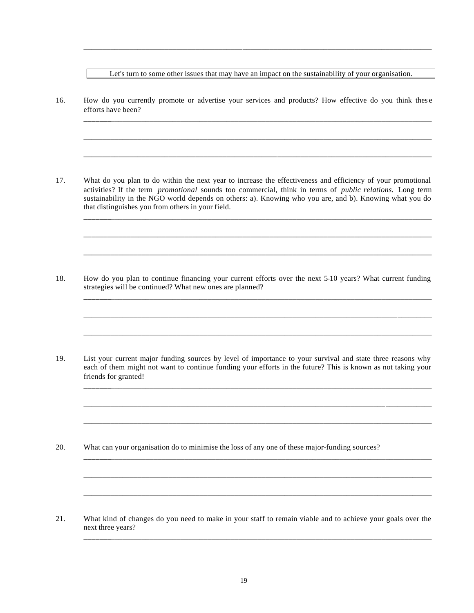Let's turn to some other issues that may have an impact on the sustainability of your organisation.

**\_\_\_\_\_\_\_**\_\_\_\_\_\_\_\_\_\_\_\_\_\_\_\_\_\_\_\_\_\_\_\_\_\_\_\_\_\_\_\_\_\_\_\_\_\_\_\_\_\_\_\_\_\_\_\_\_\_\_\_\_\_\_\_\_\_\_\_\_\_\_\_\_\_\_\_\_\_\_\_\_\_\_\_\_\_\_\_\_\_\_

\_\_\_\_\_\_\_\_\_\_\_\_\_\_\_\_\_\_\_\_\_\_\_\_\_\_\_\_\_\_\_\_\_\_\_\_\_\_\_\_\_\_\_\_\_\_\_\_\_\_\_\_\_\_\_\_\_\_\_\_\_\_\_\_\_\_\_\_\_\_\_\_\_\_\_\_\_\_\_\_\_\_\_\_\_\_\_\_\_\_

\_\_\_\_\_\_\_\_\_\_\_\_\_\_\_\_\_\_\_\_\_\_\_\_\_\_\_\_\_\_\_\_\_\_\_\_\_\_\_\_\_\_\_\_\_\_\_\_\_\_\_\_\_\_\_\_\_\_\_\_\_\_\_\_\_\_\_\_\_\_\_\_\_\_\_\_\_\_\_\_\_\_\_\_\_\_\_\_\_\_

**\_\_\_\_\_\_\_**\_\_\_\_\_\_\_\_\_\_\_\_\_\_\_\_\_\_\_\_\_\_\_\_\_\_\_\_\_\_\_\_\_\_\_\_\_\_\_\_\_\_\_\_\_\_\_\_\_\_\_\_\_\_\_\_\_\_\_\_\_\_\_\_\_\_\_\_\_\_\_\_\_\_\_\_\_\_\_\_\_\_\_

\_\_\_\_\_\_\_\_\_\_\_\_\_\_\_\_\_\_\_\_\_\_\_\_\_\_\_\_\_\_\_\_\_\_\_\_\_\_\_\_\_\_\_\_\_\_\_\_\_\_\_\_\_\_\_\_\_\_\_\_\_\_\_\_\_\_\_\_\_\_\_\_\_\_\_\_\_\_\_\_\_\_\_\_\_\_\_\_\_\_

\_\_\_\_\_\_\_\_\_\_\_\_\_\_\_\_\_\_\_\_\_\_\_\_\_\_\_\_\_\_\_\_\_\_\_\_\_\_\_\_\_\_\_\_\_\_\_\_\_\_\_\_\_\_\_\_\_\_\_\_\_\_\_\_\_\_\_\_\_\_\_\_\_\_\_\_\_\_\_\_\_\_\_\_\_\_\_\_\_\_

**\_\_\_\_\_\_\_**\_\_\_\_\_\_\_\_\_\_\_\_\_\_\_\_\_\_\_\_\_\_\_\_\_\_\_\_\_\_\_\_\_\_\_\_\_\_\_\_\_\_\_\_\_\_\_\_\_\_\_\_\_\_\_\_\_\_\_\_\_\_\_\_\_\_\_\_\_\_\_\_\_\_\_\_\_\_\_\_\_\_\_

\_\_\_\_\_\_\_\_\_\_\_\_\_\_\_\_\_\_\_\_\_\_\_\_\_\_\_\_\_\_\_\_\_\_\_\_\_\_\_\_\_\_\_\_\_\_\_\_\_\_\_\_\_\_\_\_\_\_\_\_\_\_\_\_\_\_\_\_\_\_\_\_\_\_\_\_\_\_\_\_\_\_\_\_\_\_\_\_\_\_

\_\_\_\_\_\_\_\_\_\_\_\_\_\_\_\_\_\_\_\_\_\_\_\_\_\_\_\_\_\_\_\_\_\_\_\_\_\_\_\_\_\_\_\_\_\_\_\_\_\_\_\_\_\_\_\_\_\_\_\_\_\_\_\_\_\_\_\_\_\_\_\_\_\_\_\_\_\_\_\_\_\_\_\_\_\_\_\_\_\_

**\_\_\_\_\_\_\_**\_\_\_\_\_\_\_\_\_\_\_\_\_\_\_\_\_\_\_\_\_\_\_\_\_\_\_\_\_\_\_\_\_\_\_\_\_\_\_\_\_\_\_\_\_\_\_\_\_\_\_\_\_\_\_\_\_\_\_\_\_\_\_\_\_\_\_\_\_\_\_\_\_\_\_\_\_\_\_\_\_\_\_

\_\_\_\_\_\_\_\_\_\_\_\_\_\_\_\_\_\_\_\_\_\_\_\_\_\_\_\_\_\_\_\_\_\_\_\_\_\_\_\_\_\_\_\_\_\_\_\_\_\_\_\_\_\_\_\_\_\_\_\_\_\_\_\_\_\_\_\_\_\_\_\_\_\_\_\_\_\_\_\_\_\_\_\_\_\_\_\_\_\_

\_\_\_\_\_\_\_\_\_\_\_\_\_\_\_\_\_\_\_\_\_\_\_\_\_\_\_\_\_\_\_\_\_\_\_\_\_\_\_\_\_\_\_\_\_\_\_\_\_\_\_\_\_\_\_\_\_\_\_\_\_\_\_\_\_\_\_\_\_\_\_\_\_\_\_\_\_\_\_\_\_\_\_\_\_\_\_\_\_\_

**\_\_\_\_\_\_\_**\_\_\_\_\_\_\_\_\_\_\_\_\_\_\_\_\_\_\_\_\_\_\_\_\_\_\_\_\_\_\_\_\_\_\_\_\_\_\_\_\_\_\_\_\_\_\_\_\_\_\_\_\_\_\_\_\_\_\_\_\_\_\_\_\_\_\_\_\_\_\_\_\_\_\_\_\_\_\_\_\_\_\_

\_\_\_\_\_\_\_\_\_\_\_\_\_\_\_\_\_\_\_\_\_\_\_\_\_\_\_\_\_\_\_\_\_\_\_\_\_\_\_\_\_\_\_\_\_\_\_\_\_\_\_\_\_\_\_\_\_\_\_\_\_\_\_\_\_\_\_\_\_\_\_\_\_\_\_\_\_\_\_\_\_\_\_\_\_\_\_\_\_\_

\_\_\_\_\_\_\_\_\_\_\_\_\_\_\_\_\_\_\_\_\_\_\_\_\_\_\_\_\_\_\_\_\_\_\_\_\_\_\_\_\_\_\_\_\_\_\_\_\_\_\_\_\_\_\_\_\_\_\_\_\_\_\_\_\_\_\_\_\_\_\_\_\_\_\_\_\_\_\_\_\_\_\_\_\_\_\_\_\_\_

**\_\_\_\_\_\_\_**\_\_\_\_\_\_\_\_\_\_\_\_\_\_\_\_\_\_\_\_\_\_\_\_\_\_\_\_\_\_\_\_\_\_\_\_\_\_\_\_\_\_\_\_\_\_\_\_\_\_\_\_\_\_\_\_\_\_\_\_\_\_\_\_\_\_\_\_\_\_\_\_\_\_\_\_\_\_\_\_\_\_\_

\_\_\_\_\_\_\_\_\_\_\_\_\_\_\_\_\_\_\_\_\_\_\_\_\_\_\_\_\_\_\_\_\_\_\_\_\_\_\_\_\_\_\_\_\_\_\_\_\_\_\_\_\_\_\_\_\_\_\_\_\_\_\_\_\_\_\_\_\_\_\_\_\_\_\_\_\_\_\_\_\_\_\_\_\_\_\_\_\_\_

16. How do you currently promote or advertise your services and products? How effective do you think thes e efforts have been?

17. What do you plan to do within the next year to increase the effectiveness and efficiency of your promotional activities? If the term *promotional* sounds too commercial, think in terms of *public relations.* Long term sustainability in the NGO world depends on others: a). Knowing who you are, and b). Knowing what you do that distinguishes you from others in your field.

18. How do you plan to continue financing your current efforts over the next 5-10 years? What current funding strategies will be continued? What new ones are planned?

19. List your current major funding sources by level of importance to your survival and state three reasons why each of them might not want to continue funding your efforts in the future? This is known as not taking your friends for granted!

20. What can your organisation do to minimise the loss of any one of these major-funding sources?

21. What kind of changes do you need to make in your staff to remain viable and to achieve your goals over the next three years?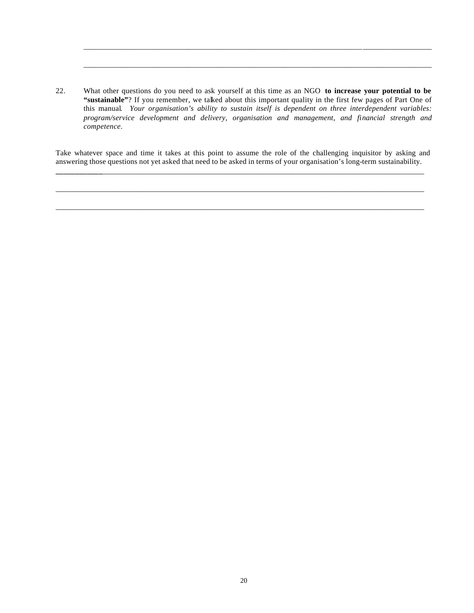22. What other questions do you need to ask yourself at this time as an NGO **to increase your potential to be**  "sustainable"? If you remember, we talked about this important quality in the first few pages of Part One of this manual*. Your organisation's ability to sustain itself is dependent on three interdependent variables: program/service development and delivery, organisation and management, and financial strength and competence*.

\_\_\_\_\_\_\_\_\_\_\_\_\_\_\_\_\_\_\_\_\_\_\_\_\_\_\_\_\_\_\_\_\_\_\_\_\_\_\_\_\_\_\_\_\_\_\_\_\_\_\_\_\_\_\_\_\_\_\_\_\_\_\_\_\_\_\_\_\_\_\_\_\_\_\_\_\_\_\_\_\_\_\_\_\_\_\_\_\_\_

\_\_\_\_\_\_\_\_\_\_\_\_\_\_\_\_\_\_\_\_\_\_\_\_\_\_\_\_\_\_\_\_\_\_\_\_\_\_\_\_\_\_\_\_\_\_\_\_\_\_\_\_\_\_\_\_\_\_\_\_\_\_\_\_\_\_\_\_\_\_\_\_\_\_\_\_\_\_\_\_\_\_\_\_\_\_\_\_\_\_

Take whatever space and time it takes at this point to assume the role of the challenging inquisitor by asking and answering those questions not yet asked that need to be asked in terms of your organisation's long-term sustainability.

**\_\_\_\_\_\_\_\_\_\_\_\_**\_\_\_\_\_\_\_\_\_\_\_\_\_\_\_\_\_\_\_\_\_\_\_\_\_\_\_\_\_\_\_\_\_\_\_\_\_\_\_\_\_\_\_\_\_\_\_\_\_\_\_\_\_\_\_\_\_\_\_\_\_\_\_\_\_\_\_\_\_\_\_\_\_\_\_\_\_\_\_\_\_\_\_

\_\_\_\_\_\_\_\_\_\_\_\_\_\_\_\_\_\_\_\_\_\_\_\_\_\_\_\_\_\_\_\_\_\_\_\_\_\_\_\_\_\_\_\_\_\_\_\_\_\_\_\_\_\_\_\_\_\_\_\_\_\_\_\_\_\_\_\_\_\_\_\_\_\_\_\_\_\_\_\_\_\_\_\_\_\_\_\_\_\_\_\_\_\_\_

\_\_\_\_\_\_\_\_\_\_\_\_\_\_\_\_\_\_\_\_\_\_\_\_\_\_\_\_\_\_\_\_\_\_\_\_\_\_\_\_\_\_\_\_\_\_\_\_\_\_\_\_\_\_\_\_\_\_\_\_\_\_\_\_\_\_\_\_\_\_\_\_\_\_\_\_\_\_\_\_\_\_\_\_\_\_\_\_\_\_\_\_\_\_\_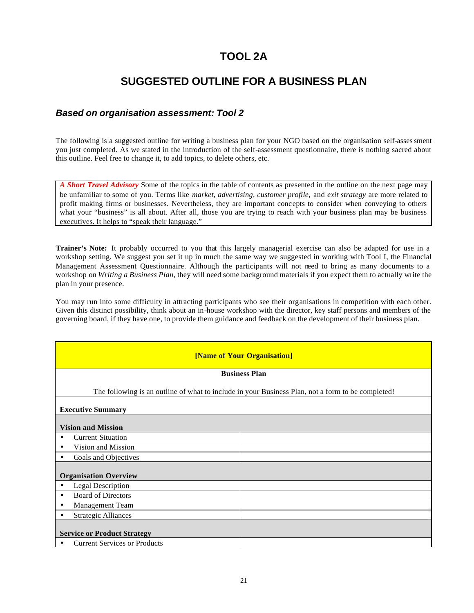# **TOOL 2A**

## **SUGGESTED OUTLINE FOR A BUSINESS PLAN**

#### *Based on organisation assessment: Tool 2*

The following is a suggested outline for writing a business plan for your NGO based on the organisation self-assessment you just completed. As we stated in the introduction of the self-assessment questionnaire, there is nothing sacred about this outline. Feel free to change it, to add topics, to delete others, etc.

*A Short Travel Advisory* Some of the topics in the table of contents as presented in the outline on the next page may be unfamiliar to some of you. Terms like *market, advertising, customer profile,* and *exit strategy* are more related to profit making firms or businesses. Nevertheless, they are important concepts to consider when conveying to others what your "business" is all about. After all, those you are trying to reach with your business plan may be business executives. It helps to "speak their language."

**Trainer's Note:** It probably occurred to you that this largely managerial exercise can also be adapted for use in a workshop setting. We suggest you set it up in much the same way we suggested in working with Tool I, the Financial Management Assessment Questionnaire. Although the participants will not need to bring as many documents to a workshop on *Writing a Business Plan*, they will need some background materials if you expect them to actually write the plan in your presence.

You may run into some difficulty in attracting participants who see their organisations in competition with each other. Given this distinct possibility, think about an in-house workshop with the director, key staff persons and members of the governing board, if they have one, to provide them guidance and feedback on the development of their business plan.

| [Name of Your Organisation]                                                                       |  |  |  |  |  |
|---------------------------------------------------------------------------------------------------|--|--|--|--|--|
| <b>Business Plan</b>                                                                              |  |  |  |  |  |
| The following is an outline of what to include in your Business Plan, not a form to be completed! |  |  |  |  |  |
| <b>Executive Summary</b>                                                                          |  |  |  |  |  |
| <b>Vision and Mission</b>                                                                         |  |  |  |  |  |
| <b>Current Situation</b><br>$\bullet$                                                             |  |  |  |  |  |
| Vision and Mission<br>٠                                                                           |  |  |  |  |  |
| Goals and Objectives<br>٠                                                                         |  |  |  |  |  |
| <b>Organisation Overview</b>                                                                      |  |  |  |  |  |
| <b>Legal Description</b><br>$\bullet$                                                             |  |  |  |  |  |
| <b>Board of Directors</b><br>$\bullet$                                                            |  |  |  |  |  |
| Management Team<br>٠                                                                              |  |  |  |  |  |
| <b>Strategic Alliances</b><br>٠                                                                   |  |  |  |  |  |
| <b>Service or Product Strategy</b>                                                                |  |  |  |  |  |
| <b>Current Services or Products</b>                                                               |  |  |  |  |  |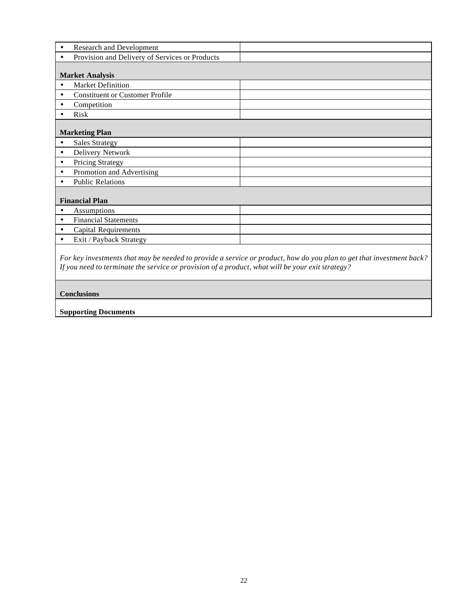| <b>Research and Development</b><br>٠                                                             |                                                                                                                      |
|--------------------------------------------------------------------------------------------------|----------------------------------------------------------------------------------------------------------------------|
| Provision and Delivery of Services or Products<br>$\bullet$                                      |                                                                                                                      |
|                                                                                                  |                                                                                                                      |
| <b>Market Analysis</b>                                                                           |                                                                                                                      |
| <b>Market Definition</b><br>$\bullet$                                                            |                                                                                                                      |
| <b>Constituent or Customer Profile</b><br>٠                                                      |                                                                                                                      |
| Competition<br>$\bullet$                                                                         |                                                                                                                      |
| Risk<br>$\bullet$                                                                                |                                                                                                                      |
|                                                                                                  |                                                                                                                      |
| <b>Marketing Plan</b>                                                                            |                                                                                                                      |
| <b>Sales Strategy</b><br>$\bullet$                                                               |                                                                                                                      |
| Delivery Network<br>$\bullet$                                                                    |                                                                                                                      |
| <b>Pricing Strategy</b><br>$\bullet$                                                             |                                                                                                                      |
| Promotion and Advertising<br>$\bullet$                                                           |                                                                                                                      |
| <b>Public Relations</b>                                                                          |                                                                                                                      |
|                                                                                                  |                                                                                                                      |
| <b>Financial Plan</b>                                                                            |                                                                                                                      |
| Assumptions<br>$\bullet$                                                                         |                                                                                                                      |
| <b>Financial Statements</b><br>٠                                                                 |                                                                                                                      |
| <b>Capital Requirements</b><br>$\bullet$                                                         |                                                                                                                      |
| Exit / Payback Strategy<br>$\bullet$                                                             |                                                                                                                      |
|                                                                                                  |                                                                                                                      |
|                                                                                                  | For key investments that may be needed to provide a service or product, how do you plan to get that investment back? |
| If you need to terminate the service or provision of a product, what will be your exit strategy? |                                                                                                                      |

## **Conclusions**

**Supporting Documents**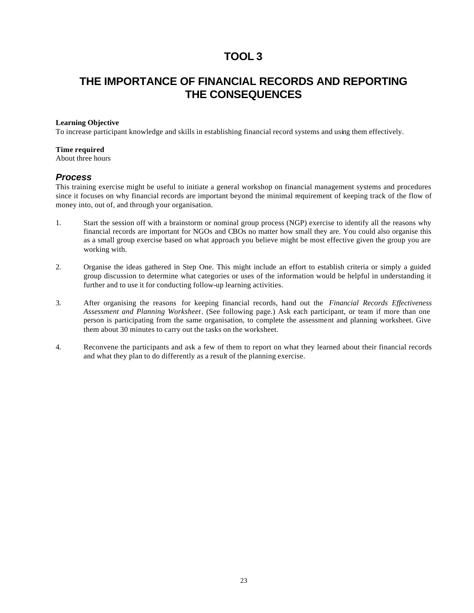## **THE IMPORTANCE OF FINANCIAL RECORDS AND REPORTING THE CONSEQUENCES**

#### **Learning Objective**

To increase participant knowledge and skills in establishing financial record systems and using them effectively.

#### **Time required**

About three hours

#### *Process*

This training exercise might be useful to initiate a general workshop on financial management systems and procedures since it focuses on why financial records are important beyond the minimal requirement of keeping track of the flow of money into, out of, and through your organisation.

- 1. Start the session off with a brainstorm or nominal group process (NGP) exercise to identify all the reasons why financial records are important for NGOs and CBOs no matter how small they are. You could also organise this as a small group exercise based on what approach you believe might be most effective given the group you are working with.
- 2. Organise the ideas gathered in Step One. This might include an effort to establish criteria or simply a guided group discussion to determine what categories or uses of the information would be helpful in understanding it further and to use it for conducting follow-up learning activities.
- 3. After organising the reasons for keeping financial records, hand out the *Financial Records Effectiveness Assessment and Planning Worksheet*. (See following page.) Ask each participant, or team if more than one person is participating from the same organisation, to complete the assessment and planning worksheet. Give them about 30 minutes to carry out the tasks on the worksheet.
- 4. Reconvene the participants and ask a few of them to report on what they learned about their financial records and what they plan to do differently as a result of the planning exercise.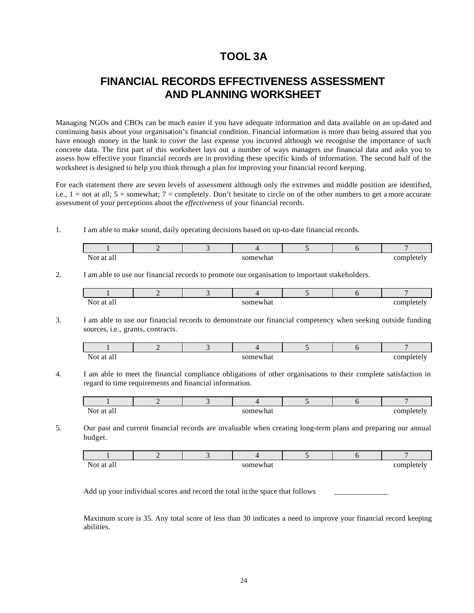# **TOOL 3A**

## **FINANCIAL RECORDS EFFECTIVENESS ASSESSMENT AND PLANNING WORKSHEET**

Managing NGOs and CBOs can be much easier if you have adequate information and data available on an up-dated and continuing basis about your organisation's financial condition. Financial information is more than being assured that you have enough money in the bank to cover the last expense you incurred although we recognise the importance of such concrete data. The first part of this worksheet lays out a number of ways managers use financial data and asks you to assess how effective your financial records are in providing these specific kinds of information. The second half of the worksheet is designed to help you think through a plan for improving your financial record keeping.

For each statement there are seven levels of assessment although only the extremes and middle position are identified, i.e.,  $1 =$  not at all;  $5 =$  somewhat;  $7 =$  completely. Don't hesitate to circle on of the other numbers to get a more accurate assessment of your perceptions about the *effectiveness* of your financial records.

1. I am able to make sound, daily operating decisions based on up-to-date financial records.

| No.<br>* ah<br>aι |  | ıewhat |  | 0.03333<br>. |
|-------------------|--|--------|--|--------------|

2. I am able to use our financial records to promote our organisation to important stakeholders.

| $N_{t}$<br>$\mathbf{u}$<br>- |  | $- - - -$ |  |  |
|------------------------------|--|-----------|--|--|

3. I am able to use our financial records to demonstrate our financial competency when seeking outside funding sources, i.e., grants, contracts.

| $N_{\Omega}$<br>all<br>āι |  | 'omewhat |  | $\frac{1}{2}$<br>$-1-$<br>וו זי<br>ັບມ |
|---------------------------|--|----------|--|----------------------------------------|

4. I am able to meet the financial compliance obligations of other organisations to their complete satisfaction in regard to time requirements and financial information.

| Not<br>Яt<br>all<br>. . |  | newhat |  | 0.03334<br>-- |
|-------------------------|--|--------|--|---------------|

5. Our past and current financial records are invaluable when creating long-term plans and preparing our annual budget.

| N <sub>O</sub><br>at all |  | somewhat |  | aamnlatalv<br>⊽เ∪<br> |
|--------------------------|--|----------|--|-----------------------|

Add up your individual scores and record the total in the space that follows

Maximum score is 35. Any total score of less than 30 indicates a need to improve your financial record keeping abilities.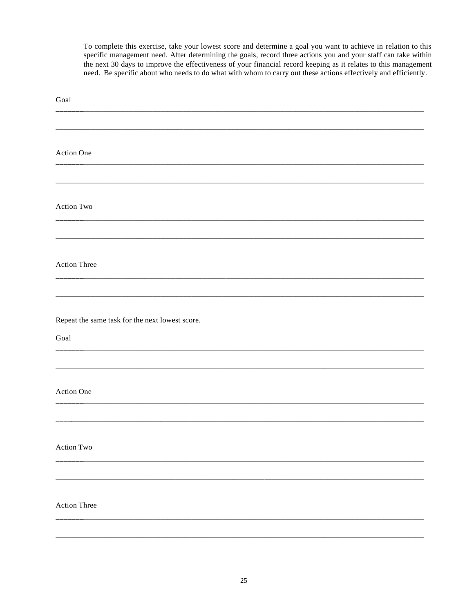To complete this exercise, take your lowest score and determine a goal you want to achieve in relation to this specific management need. After determining the goals, record three actions you and your staff can take within the next 30 days to improve the effectiveness of your financial record keeping as it relates to this management need. Be specific about who needs to do what with whom to carry out these actions effectively and efficiently.

| Goal                                            |
|-------------------------------------------------|
|                                                 |
|                                                 |
| <b>Action One</b>                               |
|                                                 |
| <b>Action Two</b>                               |
|                                                 |
|                                                 |
| <b>Action Three</b>                             |
|                                                 |
|                                                 |
| Repeat the same task for the next lowest score. |
| Goal                                            |
|                                                 |
| <b>Action One</b>                               |
|                                                 |
|                                                 |
| Action Two                                      |
|                                                 |
|                                                 |
| <b>Action Three</b>                             |
|                                                 |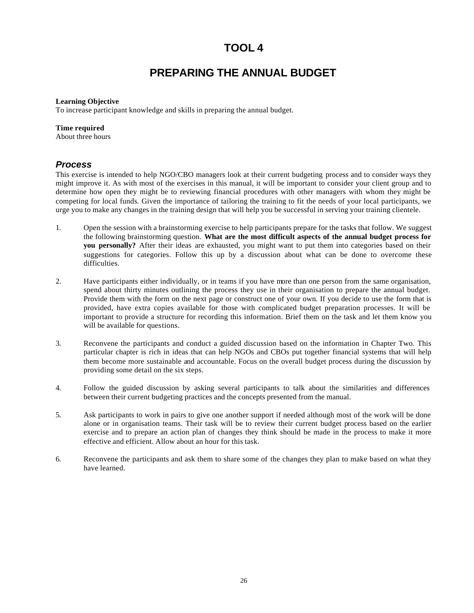# **PREPARING THE ANNUAL BUDGET**

#### **Learning Objective**

To increase participant knowledge and skills in preparing the annual budget.

#### **Time required**

About three hours

#### *Process*

This exercise is intended to help NGO/CBO managers look at their current budgeting process and to consider ways they might improve it. As with most of the exercises in this manual, it will be important to consider your client group and to determine how open they might be to reviewing financial procedures with other managers with whom they might be competing for local funds. Given the importance of tailoring the training to fit the needs of your local participants, we urge you to make any changes in the training design that will help you be successful in serving your training clientele.

- 1. Open the session with a brainstorming exercise to help participants prepare for the tasks that follow. We suggest the following brainstorming question. **What are the most difficult aspects of the annual budget process for you personally?** After their ideas are exhausted, you might want to put them into categories based on their suggestions for categories. Follow this up by a discussion about what can be done to overcome these difficulties.
- 2. Have participants either individually, or in teams if you have more than one person from the same organisation, spend about thirty minutes outlining the process they use in their organisation to prepare the annual budget. Provide them with the form on the next page or construct one of your own. If you decide to use the form that is provided, have extra copies available for those with complicated budget preparation processes. It will be important to provide a structure for recording this information. Brief them on the task and let them know you will be available for questions.
- 3. Reconvene the participants and conduct a guided discussion based on the information in Chapter Two. This particular chapter is rich in ideas that can help NGOs and CBOs put together financial systems that will help them become more sustainable and accountable. Focus on the overall budget process during the discussion by providing some detail on the six steps.
- 4. Follow the guided discussion by asking several participants to talk about the similarities and differences between their current budgeting practices and the concepts presented from the manual.
- 5. Ask participants to work in pairs to give one another support if needed although most of the work will be done alone or in organisation teams. Their task will be to review their current budget process based on the earlier exercise and to prepare an action plan of changes they think should be made in the process to make it more effective and efficient. Allow about an hour for this task.
- 6. Reconvene the participants and ask them to share some of the changes they plan to make based on what they have learned.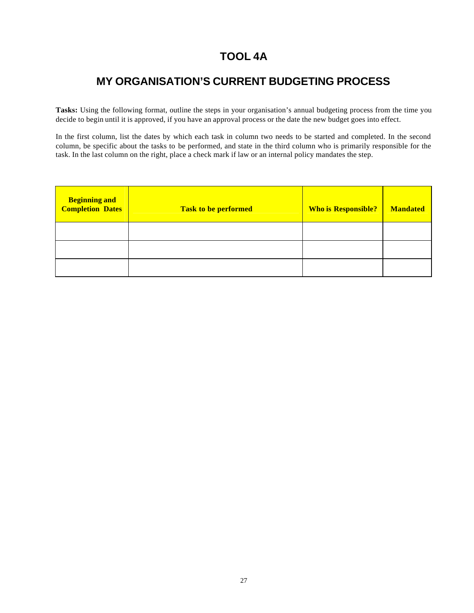# **TOOL 4A**

## **MY ORGANISATION'S CURRENT BUDGETING PROCESS**

**Tasks:** Using the following format, outline the steps in your organisation's annual budgeting process from the time you decide to begin until it is approved, if you have an approval process or the date the new budget goes into effect.

In the first column, list the dates by which each task in column two needs to be started and completed. In the second column, be specific about the tasks to be performed, and state in the third column who is primarily responsible for the task. In the last column on the right, place a check mark if law or an internal policy mandates the step.

| <b>Beginning and</b><br><b>Completion Dates</b> | Task to be performed | <b>Who is Responsible?</b> | <b>Mandated</b> |
|-------------------------------------------------|----------------------|----------------------------|-----------------|
|                                                 |                      |                            |                 |
|                                                 |                      |                            |                 |
|                                                 |                      |                            |                 |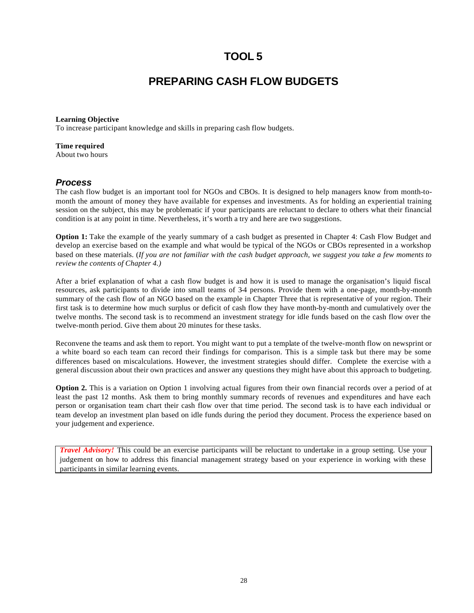## **PREPARING CASH FLOW BUDGETS**

#### **Learning Objective**

To increase participant knowledge and skills in preparing cash flow budgets.

#### **Time required**

About two hours

#### *Process*

The cash flow budget is an important tool for NGOs and CBOs. It is designed to help managers know from month-tomonth the amount of money they have available for expenses and investments. As for holding an experiential training session on the subject, this may be problematic if your participants are reluctant to declare to others what their financial condition is at any point in time. Nevertheless, it's worth a try and here are two suggestions.

**Option 1:** Take the example of the yearly summary of a cash budget as presented in Chapter 4: Cash Flow Budget and develop an exercise based on the example and what would be typical of the NGOs or CBOs represented in a workshop based on these materials. (*If you are not familiar with the cash budget approach, we suggest you take a few moments to review the contents of Chapter 4.)*

After a brief explanation of what a cash flow budget is and how it is used to manage the organisation's liquid fiscal resources, ask participants to divide into small teams of 3-4 persons. Provide them with a one-page, month-by-month summary of the cash flow of an NGO based on the example in Chapter Three that is representative of your region. Their first task is to determine how much surplus or deficit of cash flow they have month-by-month and cumulatively over the twelve months. The second task is to recommend an investment strategy for idle funds based on the cash flow over the twelve-month period. Give them about 20 minutes for these tasks.

Reconvene the teams and ask them to report. You might want to put a template of the twelve-month flow on newsprint or a white board so each team can record their findings for comparison. This is a simple task but there may be some differences based on miscalculations. However, the investment strategies should differ. Complete the exercise with a general discussion about their own practices and answer any questions they might have about this approach to budgeting.

**Option 2.** This is a variation on Option 1 involving actual figures from their own financial records over a period of at least the past 12 months. Ask them to bring monthly summary records of revenues and expenditures and have each person or organisation team chart their cash flow over that time period. The second task is to have each individual or team develop an investment plan based on idle funds during the period they document. Process the experience based on your judgement and experience.

*Travel Advisory!* This could be an exercise participants will be reluctant to undertake in a group setting. Use your judgement on how to address this financial management strategy based on your experience in working with these participants in similar learning events.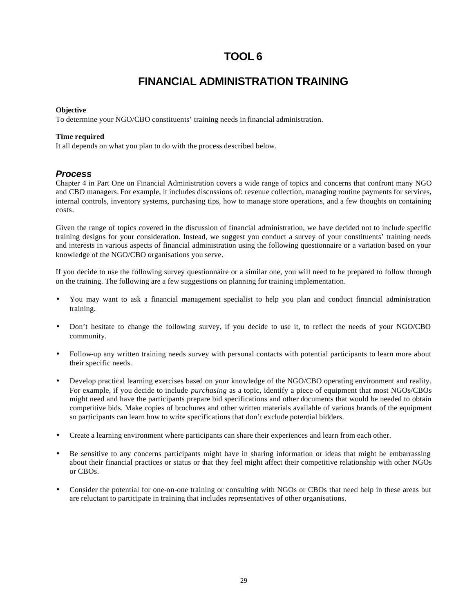## **FINANCIAL ADMINISTRATION TRAINING**

#### **Objective**

To determine your NGO/CBO constituents' training needs in financial administration.

#### **Time required**

It all depends on what you plan to do with the process described below.

#### *Process*

Chapter 4 in Part One on Financial Administration covers a wide range of topics and concerns that confront many NGO and CBO managers. For example, it includes discussions of: revenue collection, managing routine payments for services, internal controls, inventory systems, purchasing tips, how to manage store operations, and a few thoughts on containing costs.

Given the range of topics covered in the discussion of financial administration, we have decided not to include specific training designs for your consideration. Instead, we suggest you conduct a survey of your constituents' training needs and interests in various aspects of financial administration using the following questionnaire or a variation based on your knowledge of the NGO/CBO organisations you serve.

If you decide to use the following survey questionnaire or a similar one, you will need to be prepared to follow through on the training. The following are a few suggestions on planning for training implementation.

- You may want to ask a financial management specialist to help you plan and conduct financial administration training.
- Don't hesitate to change the following survey, if you decide to use it, to reflect the needs of your NGO/CBO community.
- Follow-up any written training needs survey with personal contacts with potential participants to learn more about their specific needs.
- Develop practical learning exercises based on your knowledge of the NGO/CBO operating environment and reality. For example, if you decide to include *purchasing* as a topic, identify a piece of equipment that most NGOs/CBOs might need and have the participants prepare bid specifications and other documents that would be needed to obtain competitive bids. Make copies of brochures and other written materials available of various brands of the equipment so participants can learn how to write specifications that don't exclude potential bidders.
- Create a learning environment where participants can share their experiences and learn from each other.
- Be sensitive to any concerns participants might have in sharing information or ideas that might be embarrassing about their financial practices or status or that they feel might affect their competitive relationship with other NGOs or CBOs.
- Consider the potential for one-on-one training or consulting with NGOs or CBOs that need help in these areas but are reluctant to participate in training that includes representatives of other organisations.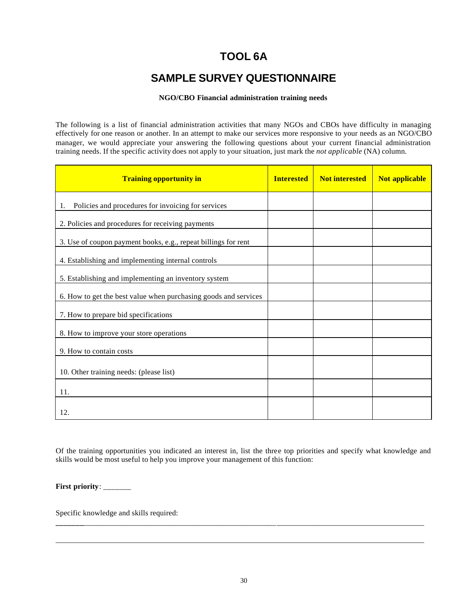# **TOOL 6A**

# **SAMPLE SURVEY QUESTIONNAIRE**

#### **NGO/CBO Financial administration training needs**

The following is a list of financial administration activities that many NGOs and CBOs have difficulty in managing effectively for one reason or another. In an attempt to make our services more responsive to your needs as an NGO/CBO manager, we would appreciate your answering the following questions about your current financial administration training needs. If the specific activity does not apply to your situation, just mark the *not applicable* (NA) column.

| <b>Training opportunity in</b>                                  | <b>Interested</b> | <b>Not interested</b> | Not applicable |
|-----------------------------------------------------------------|-------------------|-----------------------|----------------|
| Policies and procedures for invoicing for services<br>1.        |                   |                       |                |
| 2. Policies and procedures for receiving payments               |                   |                       |                |
| 3. Use of coupon payment books, e.g., repeat billings for rent  |                   |                       |                |
| 4. Establishing and implementing internal controls              |                   |                       |                |
| 5. Establishing and implementing an inventory system            |                   |                       |                |
| 6. How to get the best value when purchasing goods and services |                   |                       |                |
| 7. How to prepare bid specifications                            |                   |                       |                |
| 8. How to improve your store operations                         |                   |                       |                |
| 9. How to contain costs                                         |                   |                       |                |
| 10. Other training needs: (please list)                         |                   |                       |                |
| 11.                                                             |                   |                       |                |
| 12.                                                             |                   |                       |                |

Of the training opportunities you indicated an interest in, list the three top priorities and specify what knowledge and skills would be most useful to help you improve your management of this function:

**First priority**: \_\_\_\_\_\_\_

Specific knowledge and skills required:

**\_\_\_\_\_\_\_**\_\_\_\_\_\_\_\_\_\_\_\_\_\_\_\_\_\_\_\_\_\_\_\_\_\_\_\_\_\_\_\_\_\_\_\_\_\_\_\_\_\_\_\_\_\_\_\_\_\_\_\_\_\_\_\_\_\_\_\_\_\_\_\_\_\_\_\_\_\_\_\_\_\_\_\_\_\_\_\_\_\_\_\_\_\_\_\_

\_\_\_\_\_\_\_\_\_\_\_\_\_\_\_\_\_\_\_\_\_\_\_\_\_\_\_\_\_\_\_\_\_\_\_\_\_\_\_\_\_\_\_\_\_\_\_\_\_\_\_\_\_\_\_\_\_\_\_\_\_\_\_\_\_\_\_\_\_\_\_\_\_\_\_\_\_\_\_\_\_\_\_\_\_\_\_\_\_\_\_\_\_\_\_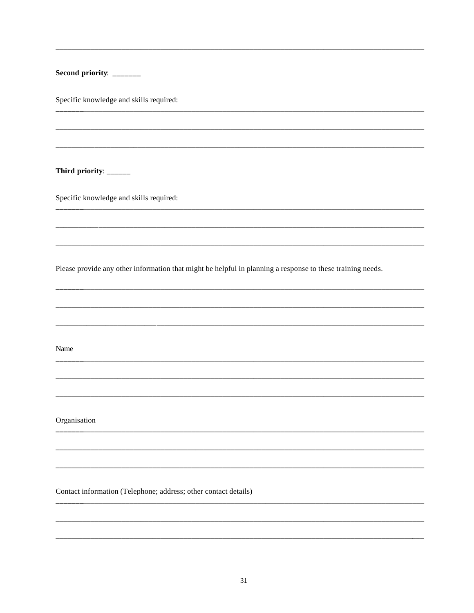| Second priority: _______                                                                                   |
|------------------------------------------------------------------------------------------------------------|
| Specific knowledge and skills required:                                                                    |
|                                                                                                            |
|                                                                                                            |
| Third priority: ______                                                                                     |
| Specific knowledge and skills required:                                                                    |
|                                                                                                            |
|                                                                                                            |
| Please provide any other information that might be helpful in planning a response to these training needs. |
|                                                                                                            |
|                                                                                                            |
| Name                                                                                                       |
|                                                                                                            |
|                                                                                                            |
| Organisation                                                                                               |
|                                                                                                            |
|                                                                                                            |
| Contact information (Telephone; address; other contact details)                                            |
|                                                                                                            |
|                                                                                                            |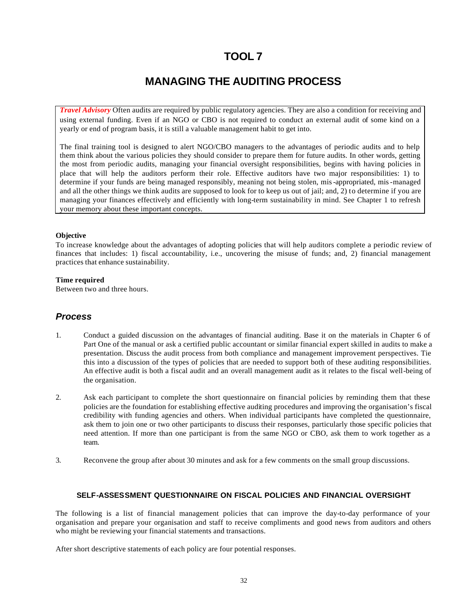# **MANAGING THE AUDITING PROCESS**

*Travel Advisory* Often audits are required by public regulatory agencies. They are also a condition for receiving and using external funding. Even if an NGO or CBO is not required to conduct an external audit of some kind on a yearly or end of program basis, it is still a valuable management habit to get into.

The final training tool is designed to alert NGO/CBO managers to the advantages of periodic audits and to help them think about the various policies they should consider to prepare them for future audits. In other words, getting the most from periodic audits, managing your financial oversight responsibilities, begins with having policies in place that will help the auditors perform their role. Effective auditors have two major responsibilities: 1) to determine if your funds are being managed responsibly, meaning not being stolen, mis-appropriated, mis-managed and all the other things we think audits are supposed to look for to keep us out of jail; and, 2) to determine if you are managing your finances effectively and efficiently with long-term sustainability in mind. See Chapter 1 to refresh your memory about these important concepts.

#### **Objective**

To increase knowledge about the advantages of adopting policies that will help auditors complete a periodic review of finances that includes: 1) fiscal accountability, i.e., uncovering the misuse of funds; and, 2) financial management practices that enhance sustainability.

#### **Time required**

Between two and three hours.

#### *Process*

- 1. Conduct a guided discussion on the advantages of financial auditing. Base it on the materials in Chapter 6 of Part One of the manual or ask a certified public accountant or similar financial expert skilled in audits to make a presentation. Discuss the audit process from both compliance and management improvement perspectives. Tie this into a discussion of the types of policies that are needed to support both of these auditing responsibilities. An effective audit is both a fiscal audit and an overall management audit as it relates to the fiscal well-being of the organisation.
- 2. Ask each participant to complete the short questionnaire on financial policies by reminding them that these policies are the foundation for establishing effective auditing procedures and improving the organisation's fiscal credibility with funding agencies and others. When individual participants have completed the questionnaire, ask them to join one or two other participants to discuss their responses, particularly those specific policies that need attention. If more than one participant is from the same NGO or CBO, ask them to work together as a team.
- 3. Reconvene the group after about 30 minutes and ask for a few comments on the small group discussions.

#### **SELF-ASSESSMENT QUESTIONNAIRE ON FISCAL POLICIES AND FINANCIAL OVERSIGHT**

The following is a list of financial management policies that can improve the day-to-day performance of your organisation and prepare your organisation and staff to receive compliments and good news from auditors and others who might be reviewing your financial statements and transactions.

After short descriptive statements of each policy are four potential responses.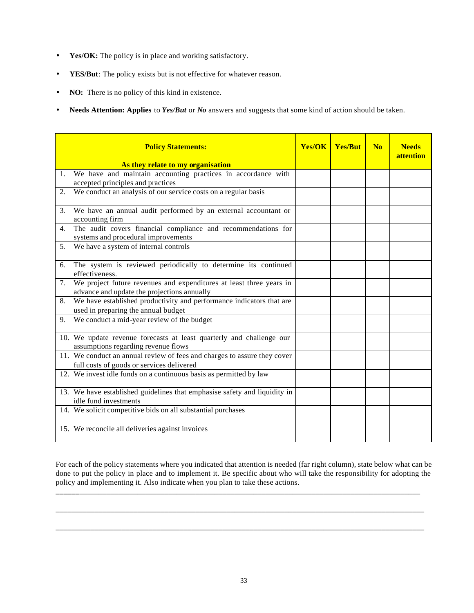- **Yes/OK:** The policy is in place and working satisfactory.
- YES/But: The policy exists but is not effective for whatever reason.
- **NO:** There is no policy of this kind in existence.
- **Needs Attention: Applies** to *Yes/But* or *No* answers and suggests that some kind of action should be taken.

|                  | <b>Policy Statements:</b>                                                                                             | <b>Yes/OK   Yes/But</b> | N <sub>0</sub> | <b>Needs</b><br>attention |
|------------------|-----------------------------------------------------------------------------------------------------------------------|-------------------------|----------------|---------------------------|
|                  | As they relate to my organisation                                                                                     |                         |                |                           |
| 1.               | We have and maintain accounting practices in accordance with<br>accepted principles and practices                     |                         |                |                           |
| $\overline{2}$ . | We conduct an analysis of our service costs on a regular basis                                                        |                         |                |                           |
| 3.               | We have an annual audit performed by an external accountant or<br>accounting firm                                     |                         |                |                           |
| 4.               | The audit covers financial compliance and recommendations for<br>systems and procedural improvements                  |                         |                |                           |
| 5 <sub>1</sub>   | We have a system of internal controls                                                                                 |                         |                |                           |
| 6.               | The system is reviewed periodically to determine its continued<br>effectiveness.                                      |                         |                |                           |
| 7.               | We project future revenues and expenditures at least three years in<br>advance and update the projections annually    |                         |                |                           |
| 8.               | We have established productivity and performance indicators that are<br>used in preparing the annual budget           |                         |                |                           |
| 9.               | We conduct a mid-year review of the budget                                                                            |                         |                |                           |
|                  | 10. We update revenue forecasts at least quarterly and challenge our<br>assumptions regarding revenue flows           |                         |                |                           |
|                  | 11. We conduct an annual review of fees and charges to assure they cover<br>full costs of goods or services delivered |                         |                |                           |
|                  | 12. We invest idle funds on a continuous basis as permitted by law                                                    |                         |                |                           |
|                  | 13. We have established guidelines that emphasise safety and liquidity in<br>idle fund investments                    |                         |                |                           |
|                  | 14. We solicit competitive bids on all substantial purchases                                                          |                         |                |                           |
|                  | 15. We reconcile all deliveries against invoices                                                                      |                         |                |                           |

For each of the policy statements where you indicated that attention is needed (far right column), state below what can be done to put the policy in place and to implement it. Be specific about who will take the responsibility for adopting the policy and implementing it. Also indicate when you plan to take these actions.

**\_\_\_\_\_\_**\_\_\_\_\_\_\_\_\_\_\_\_\_\_\_\_\_\_\_\_\_\_\_\_\_\_\_\_\_\_\_\_\_\_\_\_\_\_\_\_\_\_\_\_\_\_\_\_\_\_\_\_\_\_\_\_\_\_\_\_\_\_\_\_\_\_\_\_\_\_\_\_\_\_\_\_\_\_\_\_\_\_\_\_\_\_\_\_

\_\_\_\_\_\_\_\_\_\_\_\_\_\_\_\_\_\_\_\_\_\_\_\_\_\_\_\_\_\_\_\_\_\_\_\_\_\_\_\_\_\_\_\_\_\_\_\_\_\_\_\_\_\_\_\_\_\_\_\_\_\_\_\_\_\_\_\_\_\_\_\_\_\_\_\_\_\_\_\_\_\_\_\_\_\_\_\_\_\_\_\_\_\_\_

\_\_\_\_\_\_\_\_\_\_\_\_\_\_\_\_\_\_\_\_\_\_\_\_\_\_\_\_\_\_\_\_\_\_\_\_\_\_\_\_\_\_\_\_\_\_\_\_\_\_\_\_\_\_\_\_\_\_\_\_\_\_\_\_\_\_\_\_\_\_\_\_\_\_\_\_\_\_\_\_\_\_\_\_\_\_\_\_\_\_\_\_\_\_\_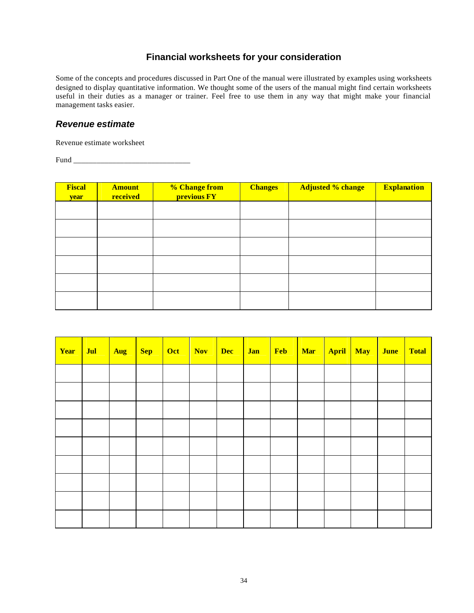## **Financial worksheets for your consideration**

Some of the concepts and procedures discussed in Part One of the manual were illustrated by examples using worksheets designed to display quantitative information. We thought some of the users of the manual might find certain worksheets useful in their duties as a manager or trainer. Feel free to use them in any way that might make your financial management tasks easier.

## *Revenue estimate*

Revenue estimate worksheet

Fund \_\_\_\_\_\_\_\_\_\_\_\_\_\_\_\_\_\_\_\_\_\_\_\_\_\_\_\_\_\_

| <b>Fiscal</b><br>year | <b>Amount</b><br>received | % Change from<br>previous FY | <b>Changes</b> | <b>Adjusted % change</b> | <b>Explanation</b> |
|-----------------------|---------------------------|------------------------------|----------------|--------------------------|--------------------|
|                       |                           |                              |                |                          |                    |
|                       |                           |                              |                |                          |                    |
|                       |                           |                              |                |                          |                    |
|                       |                           |                              |                |                          |                    |
|                       |                           |                              |                |                          |                    |
|                       |                           |                              |                |                          |                    |

| Year | Jul | Aug | $\sqrt{\text{Sep}}$ | Oct | Nov | <b>Dec</b> | <b>Jan</b> | Feb | Mar | April May | <b>June</b> | <b>Total</b> |
|------|-----|-----|---------------------|-----|-----|------------|------------|-----|-----|-----------|-------------|--------------|
|      |     |     |                     |     |     |            |            |     |     |           |             |              |
|      |     |     |                     |     |     |            |            |     |     |           |             |              |
|      |     |     |                     |     |     |            |            |     |     |           |             |              |
|      |     |     |                     |     |     |            |            |     |     |           |             |              |
|      |     |     |                     |     |     |            |            |     |     |           |             |              |
|      |     |     |                     |     |     |            |            |     |     |           |             |              |
|      |     |     |                     |     |     |            |            |     |     |           |             |              |
|      |     |     |                     |     |     |            |            |     |     |           |             |              |
|      |     |     |                     |     |     |            |            |     |     |           |             |              |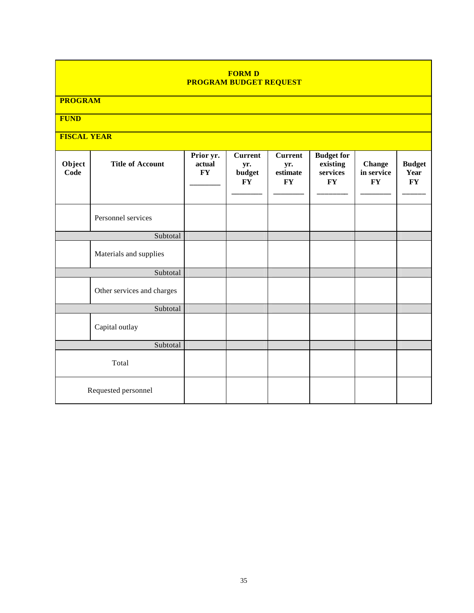#### **FORM D PROGRAM BUDGET REQUEST**

**PROGRAM**

**FUND**

## **FISCAL YEAR**

| Object<br>Code | <b>Title of Account</b>    | Prior yr.<br>actual<br>$\mathbf{F}\mathbf{Y}$ | <b>Current</b><br>yr.<br>budget<br><b>FY</b> | <b>Current</b><br>yr.<br>estimate<br><b>FY</b> | <b>Budget for</b><br>existing<br>services<br>FY | <b>Change</b><br>in service<br>${\bf F}{\bf Y}$ | <b>Budget</b><br>Year<br>$\mathbf{F}\mathbf{Y}$ |
|----------------|----------------------------|-----------------------------------------------|----------------------------------------------|------------------------------------------------|-------------------------------------------------|-------------------------------------------------|-------------------------------------------------|
|                | Personnel services         |                                               |                                              |                                                |                                                 |                                                 |                                                 |
|                | Subtotal                   |                                               |                                              |                                                |                                                 |                                                 |                                                 |
|                | Materials and supplies     |                                               |                                              |                                                |                                                 |                                                 |                                                 |
|                | Subtotal                   |                                               |                                              |                                                |                                                 |                                                 |                                                 |
|                | Other services and charges |                                               |                                              |                                                |                                                 |                                                 |                                                 |
|                | Subtotal                   |                                               |                                              |                                                |                                                 |                                                 |                                                 |
|                | Capital outlay             |                                               |                                              |                                                |                                                 |                                                 |                                                 |
|                | Subtotal                   |                                               |                                              |                                                |                                                 |                                                 |                                                 |
| Total          |                            |                                               |                                              |                                                |                                                 |                                                 |                                                 |
|                | Requested personnel        |                                               |                                              |                                                |                                                 |                                                 |                                                 |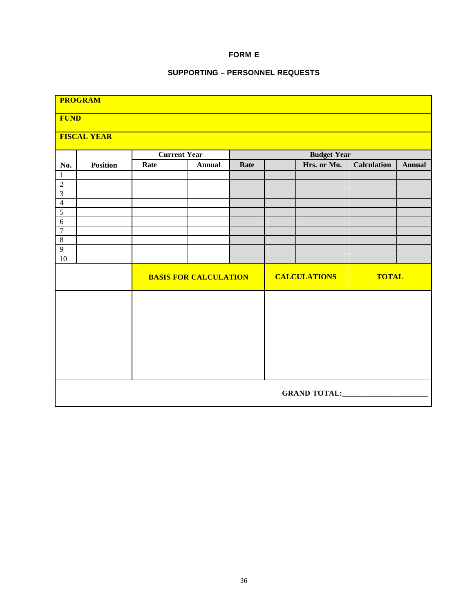#### **FORM E**

#### **SUPPORTING – PERSONNEL REQUESTS**

| <b>PROGRAM</b>                 |                     |      |                                           |      |  |                     |                    |               |  |  |  |  |
|--------------------------------|---------------------|------|-------------------------------------------|------|--|---------------------|--------------------|---------------|--|--|--|--|
|                                | <b>FUND</b>         |      |                                           |      |  |                     |                    |               |  |  |  |  |
|                                | <b>FISCAL YEAR</b>  |      |                                           |      |  |                     |                    |               |  |  |  |  |
|                                |                     |      |                                           |      |  |                     |                    |               |  |  |  |  |
|                                |                     |      | <b>Budget Year</b><br><b>Current Year</b> |      |  |                     |                    |               |  |  |  |  |
| No.                            | <b>Position</b>     | Rate | <b>Annual</b>                             | Rate |  | Hrs. or Mo.         | <b>Calculation</b> | <b>Annual</b> |  |  |  |  |
| $\mathbf{1}$<br>$\overline{2}$ |                     |      |                                           |      |  |                     |                    |               |  |  |  |  |
| $\overline{\mathbf{3}}$        |                     |      |                                           |      |  |                     |                    |               |  |  |  |  |
| $\overline{4}$                 |                     |      |                                           |      |  |                     |                    |               |  |  |  |  |
| $\overline{5}$                 |                     |      |                                           |      |  |                     |                    |               |  |  |  |  |
| $\overline{6}$                 |                     |      |                                           |      |  |                     |                    |               |  |  |  |  |
| $\overline{7}$                 |                     |      |                                           |      |  |                     |                    |               |  |  |  |  |
| $\,8\,$<br>$\overline{9}$      |                     |      |                                           |      |  |                     |                    |               |  |  |  |  |
| $\overline{10}$                |                     |      |                                           |      |  |                     |                    |               |  |  |  |  |
|                                |                     |      | <b>BASIS FOR CALCULATION</b>              |      |  | <b>CALCULATIONS</b> | <b>TOTAL</b>       |               |  |  |  |  |
|                                |                     |      |                                           |      |  |                     |                    |               |  |  |  |  |
|                                |                     |      |                                           |      |  |                     |                    |               |  |  |  |  |
|                                |                     |      |                                           |      |  |                     |                    |               |  |  |  |  |
|                                |                     |      |                                           |      |  |                     |                    |               |  |  |  |  |
|                                |                     |      |                                           |      |  |                     |                    |               |  |  |  |  |
|                                |                     |      |                                           |      |  |                     |                    |               |  |  |  |  |
|                                | <b>GRAND TOTAL:</b> |      |                                           |      |  |                     |                    |               |  |  |  |  |